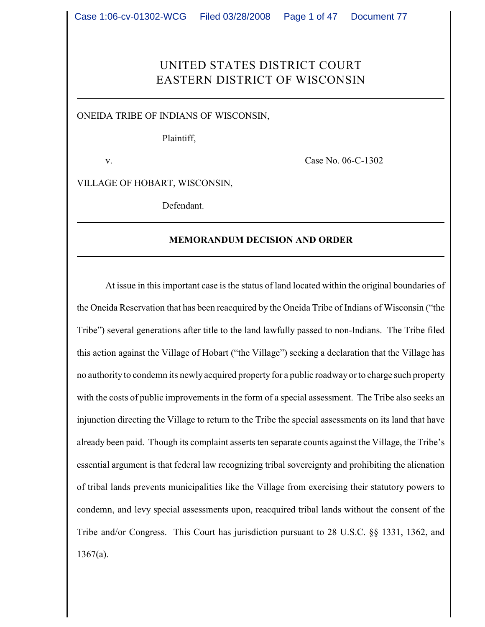# UNITED STATES DISTRICT COURT EASTERN DISTRICT OF WISCONSIN

ONEIDA TRIBE OF INDIANS OF WISCONSIN,

Plaintiff,

v. Case No. 06-C-1302

VILLAGE OF HOBART, WISCONSIN,

Defendant.

#### **MEMORANDUM DECISION AND ORDER**

At issue in this important case is the status of land located within the original boundaries of the Oneida Reservation that has been reacquired by the Oneida Tribe of Indians of Wisconsin ("the Tribe") several generations after title to the land lawfully passed to non-Indians. The Tribe filed this action against the Village of Hobart ("the Village") seeking a declaration that the Village has no authority to condemn its newly acquired property for a public roadway orto charge such property with the costs of public improvements in the form of a special assessment. The Tribe also seeks an injunction directing the Village to return to the Tribe the special assessments on its land that have already been paid. Though its complaint asserts ten separate counts against the Village, the Tribe's essential argument is that federal law recognizing tribal sovereignty and prohibiting the alienation of tribal lands prevents municipalities like the Village from exercising their statutory powers to condemn, and levy special assessments upon, reacquired tribal lands without the consent of the Tribe and/or Congress. This Court has jurisdiction pursuant to 28 U.S.C. §§ 1331, 1362, and  $1367(a)$ .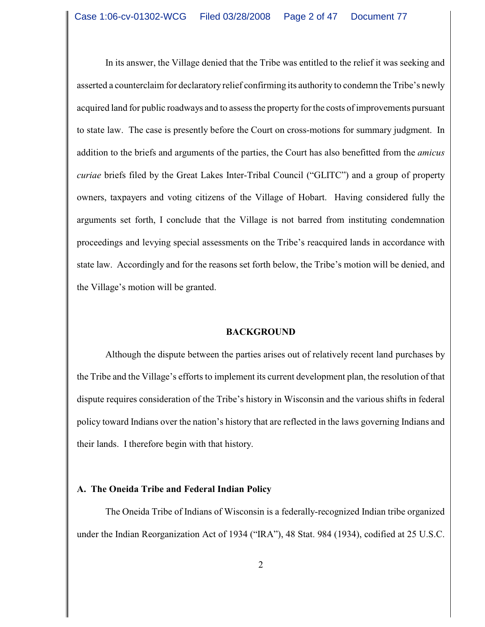In its answer, the Village denied that the Tribe was entitled to the relief it was seeking and asserted a counterclaim for declaratory relief confirming its authority to condemn the Tribe's newly acquired land for public roadways and to assess the property for the costs of improvements pursuant to state law. The case is presently before the Court on cross-motions for summary judgment. In addition to the briefs and arguments of the parties, the Court has also benefitted from the *amicus curiae* briefs filed by the Great Lakes Inter-Tribal Council ("GLITC") and a group of property owners, taxpayers and voting citizens of the Village of Hobart. Having considered fully the arguments set forth, I conclude that the Village is not barred from instituting condemnation proceedings and levying special assessments on the Tribe's reacquired lands in accordance with state law. Accordingly and for the reasons set forth below, the Tribe's motion will be denied, and the Village's motion will be granted.

#### **BACKGROUND**

Although the dispute between the parties arises out of relatively recent land purchases by the Tribe and the Village's efforts to implement its current development plan, the resolution of that dispute requires consideration of the Tribe's history in Wisconsin and the various shifts in federal policy toward Indians over the nation's history that are reflected in the laws governing Indians and their lands. I therefore begin with that history.

### **A. The Oneida Tribe and Federal Indian Policy**

The Oneida Tribe of Indians of Wisconsin is a federally-recognized Indian tribe organized under the Indian Reorganization Act of 1934 ("IRA"), 48 Stat. 984 (1934), codified at 25 U.S.C.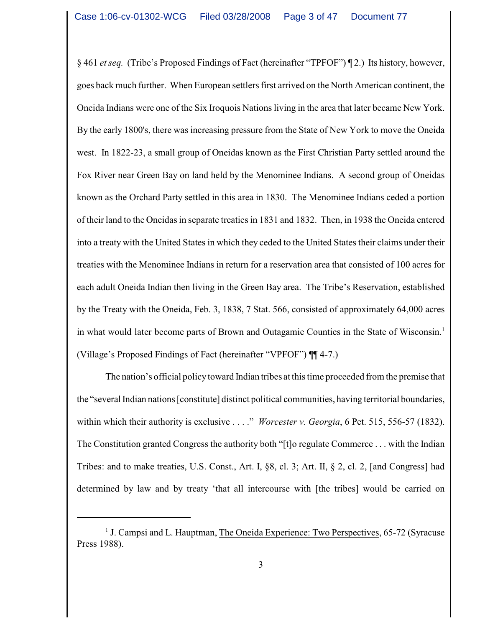§ 461 *et seq.* (Tribe's Proposed Findings of Fact (hereinafter "TPFOF") ¶ 2.) Its history, however, goes back much further. When European settlers first arrived on the North American continent, the Oneida Indians were one of the Six Iroquois Nations living in the area that later became New York. By the early 1800's, there was increasing pressure from the State of New York to move the Oneida west. In 1822-23, a small group of Oneidas known as the First Christian Party settled around the Fox River near Green Bay on land held by the Menominee Indians. A second group of Oneidas known as the Orchard Party settled in this area in 1830. The Menominee Indians ceded a portion of their land to the Oneidas in separate treaties in 1831 and 1832. Then, in 1938 the Oneida entered into a treaty with the United States in which they ceded to the United States their claims under their treaties with the Menominee Indians in return for a reservation area that consisted of 100 acres for each adult Oneida Indian then living in the Green Bay area. The Tribe's Reservation, established by the Treaty with the Oneida, Feb. 3, 1838, 7 Stat. 566, consisted of approximately 64,000 acres in what would later become parts of Brown and Outagamie Counties in the State of Wisconsin.<sup>1</sup> (Village's Proposed Findings of Fact (hereinafter "VPFOF") ¶¶ 4-7.)

The nation's official policy toward Indian tribes at this time proceeded from the premise that the "several Indian nations [constitute] distinct political communities, having territorial boundaries, within which their authority is exclusive . . . ." *Worcester v. Georgia*, 6 Pet. 515, 556-57 (1832). The Constitution granted Congress the authority both "[t]o regulate Commerce . . . with the Indian Tribes: and to make treaties, U.S. Const., Art. I, §8, cl. 3; Art. II, § 2, cl. 2, [and Congress] had determined by law and by treaty 'that all intercourse with [the tribes] would be carried on

<sup>&</sup>lt;sup>1</sup> J. Campsi and L. Hauptman, The Oneida Experience: Two Perspectives, 65-72 (Syracuse Press 1988).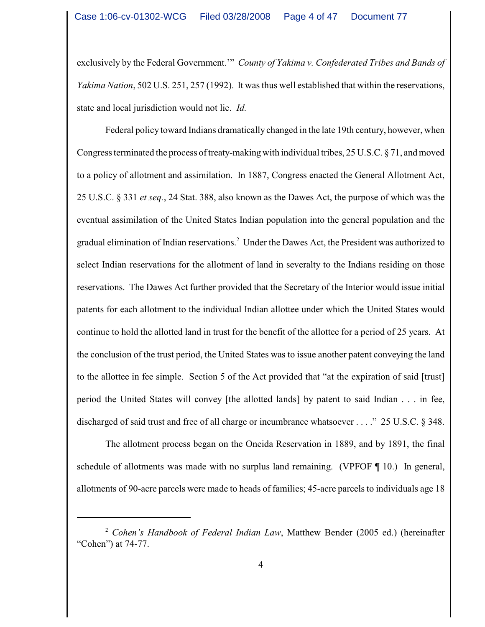exclusively by the Federal Government.'" *County of Yakima v. Confederated Tribes and Bands of Yakima Nation*, 502 U.S. 251, 257 (1992). It was thus well established that within the reservations, state and local jurisdiction would not lie. *Id.*

Federal policy toward Indians dramatically changed in the late 19th century, however, when Congress terminated the process of treaty-making with individual tribes, 25 U.S.C. § 71, and moved to a policy of allotment and assimilation. In 1887, Congress enacted the General Allotment Act, 25 U.S.C. § 331 *et seq.*, 24 Stat. 388, also known as the Dawes Act, the purpose of which was the eventual assimilation of the United States Indian population into the general population and the gradual elimination of Indian reservations.<sup>2</sup> Under the Dawes Act, the President was authorized to select Indian reservations for the allotment of land in severalty to the Indians residing on those reservations. The Dawes Act further provided that the Secretary of the Interior would issue initial patents for each allotment to the individual Indian allottee under which the United States would continue to hold the allotted land in trust for the benefit of the allottee for a period of 25 years. At the conclusion of the trust period, the United States was to issue another patent conveying the land to the allottee in fee simple. Section 5 of the Act provided that "at the expiration of said [trust] period the United States will convey [the allotted lands] by patent to said Indian . . . in fee, discharged of said trust and free of all charge or incumbrance whatsoever . . . ." 25 U.S.C. § 348.

The allotment process began on the Oneida Reservation in 1889, and by 1891, the final schedule of allotments was made with no surplus land remaining. (VPFOF ¶ 10.) In general, allotments of 90-acre parcels were made to heads of families; 45-acre parcels to individuals age 18

<sup>&</sup>lt;sup>2</sup> Cohen's Handbook of Federal Indian Law, Matthew Bender (2005 ed.) (hereinafter "Cohen") at 74-77.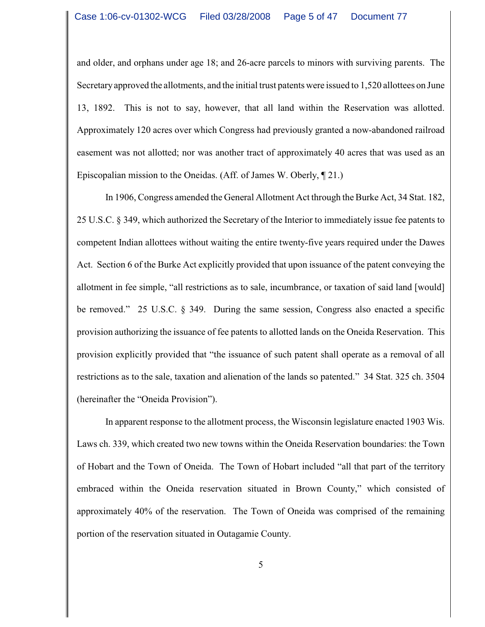and older, and orphans under age 18; and 26-acre parcels to minors with surviving parents. The Secretary approved the allotments, and the initial trust patents were issued to 1,520 allottees on June 13, 1892. This is not to say, however, that all land within the Reservation was allotted. Approximately 120 acres over which Congress had previously granted a now-abandoned railroad easement was not allotted; nor was another tract of approximately 40 acres that was used as an Episcopalian mission to the Oneidas. (Aff. of James W. Oberly, ¶ 21.)

In 1906, Congress amended the General Allotment Act through the Burke Act, 34 Stat. 182, 25 U.S.C. § 349, which authorized the Secretary of the Interior to immediately issue fee patents to competent Indian allottees without waiting the entire twenty-five years required under the Dawes Act. Section 6 of the Burke Act explicitly provided that upon issuance of the patent conveying the allotment in fee simple, "all restrictions as to sale, incumbrance, or taxation of said land [would] be removed." 25 U.S.C. § 349. During the same session, Congress also enacted a specific provision authorizing the issuance of fee patents to allotted lands on the Oneida Reservation. This provision explicitly provided that "the issuance of such patent shall operate as a removal of all restrictions as to the sale, taxation and alienation of the lands so patented." 34 Stat. 325 ch. 3504 (hereinafter the "Oneida Provision").

In apparent response to the allotment process, the Wisconsin legislature enacted 1903 Wis. Laws ch. 339, which created two new towns within the Oneida Reservation boundaries: the Town of Hobart and the Town of Oneida. The Town of Hobart included "all that part of the territory embraced within the Oneida reservation situated in Brown County," which consisted of approximately 40% of the reservation. The Town of Oneida was comprised of the remaining portion of the reservation situated in Outagamie County.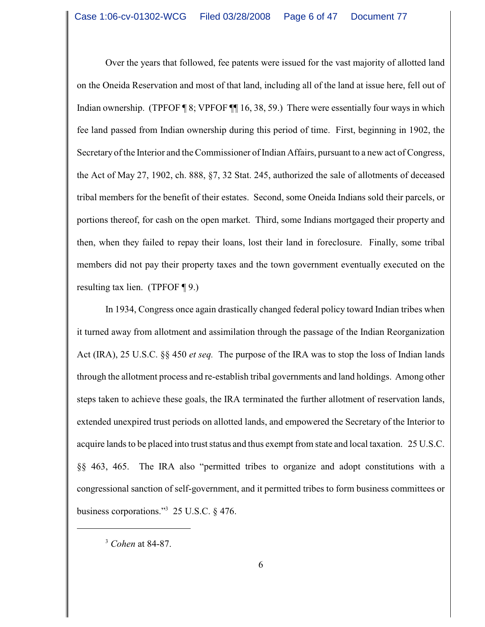Over the years that followed, fee patents were issued for the vast majority of allotted land on the Oneida Reservation and most of that land, including all of the land at issue here, fell out of Indian ownership. (TPFOF ¶ 8; VPFOF ¶ 16, 38, 59.) There were essentially four ways in which fee land passed from Indian ownership during this period of time. First, beginning in 1902, the Secretary of the Interior and the Commissioner of Indian Affairs, pursuant to a new act of Congress, the Act of May 27, 1902, ch. 888, §7, 32 Stat. 245, authorized the sale of allotments of deceased tribal members for the benefit of their estates. Second, some Oneida Indians sold their parcels, or portions thereof, for cash on the open market. Third, some Indians mortgaged their property and then, when they failed to repay their loans, lost their land in foreclosure. Finally, some tribal members did not pay their property taxes and the town government eventually executed on the resulting tax lien. (TPFOF  $\P$ 9.)

In 1934, Congress once again drastically changed federal policy toward Indian tribes when it turned away from allotment and assimilation through the passage of the Indian Reorganization Act (IRA), 25 U.S.C. §§ 450 *et seq.* The purpose of the IRA was to stop the loss of Indian lands through the allotment process and re-establish tribal governments and land holdings. Among other steps taken to achieve these goals, the IRA terminated the further allotment of reservation lands, extended unexpired trust periods on allotted lands, and empowered the Secretary of the Interior to acquire lands to be placed into trust status and thus exempt from state and local taxation. 25 U.S.C. §§ 463, 465. The IRA also "permitted tribes to organize and adopt constitutions with a congressional sanction of self-government, and it permitted tribes to form business committees or business corporations."<sup>3</sup> 25 U.S.C.  $\S$  476.

<sup>&</sup>lt;sup>3</sup> Cohen at 84-87.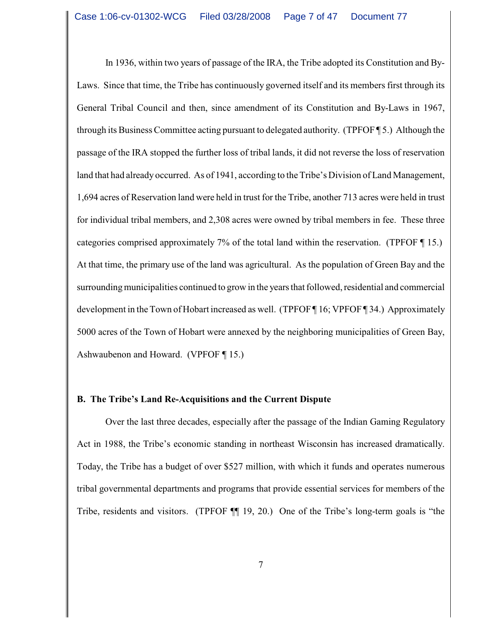In 1936, within two years of passage of the IRA, the Tribe adopted its Constitution and By-Laws. Since that time, the Tribe has continuously governed itself and its members first through its General Tribal Council and then, since amendment of its Constitution and By-Laws in 1967, through its Business Committee acting pursuant to delegated authority. (TPFOF ¶ 5.) Although the passage of the IRA stopped the further loss of tribal lands, it did not reverse the loss of reservation land that had already occurred. As of 1941, according to the Tribe's Division of Land Management, 1,694 acres of Reservation land were held in trust for the Tribe, another 713 acres were held in trust for individual tribal members, and 2,308 acres were owned by tribal members in fee. These three categories comprised approximately 7% of the total land within the reservation. (TPFOF ¶ 15.) At that time, the primary use of the land was agricultural. As the population of Green Bay and the surrounding municipalities continued to grow in the years that followed, residential and commercial development in the Town of Hobart increased as well. (TPFOF ¶ 16; VPFOF ¶ 34.) Approximately 5000 acres of the Town of Hobart were annexed by the neighboring municipalities of Green Bay, Ashwaubenon and Howard. (VPFOF ¶ 15.)

### **B. The Tribe's Land Re-Acquisitions and the Current Dispute**

Over the last three decades, especially after the passage of the Indian Gaming Regulatory Act in 1988, the Tribe's economic standing in northeast Wisconsin has increased dramatically. Today, the Tribe has a budget of over \$527 million, with which it funds and operates numerous tribal governmental departments and programs that provide essential services for members of the Tribe, residents and visitors. (TPFOF ¶¶ 19, 20.) One of the Tribe's long-term goals is "the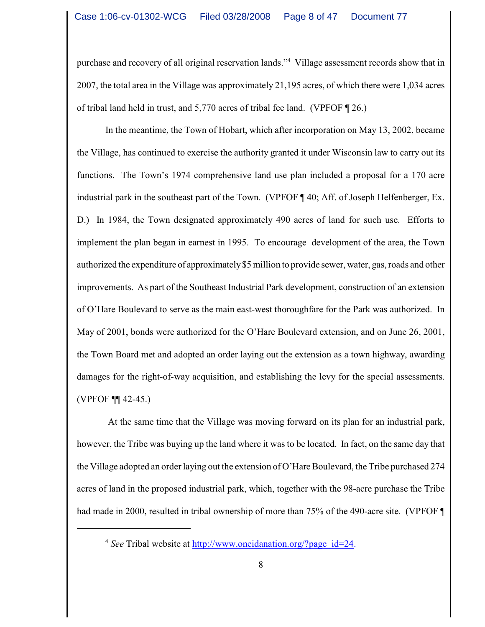purchase and recovery of all original reservation lands."<sup>4</sup> Village assessment records show that in 2007, the total area in the Village was approximately 21,195 acres, of which there were 1,034 acres of tribal land held in trust, and 5,770 acres of tribal fee land. (VPFOF ¶ 26.)

In the meantime, the Town of Hobart, which after incorporation on May 13, 2002, became the Village, has continued to exercise the authority granted it under Wisconsin law to carry out its functions. The Town's 1974 comprehensive land use plan included a proposal for a 170 acre industrial park in the southeast part of the Town. (VPFOF ¶ 40; Aff. of Joseph Helfenberger, Ex. D.) In 1984, the Town designated approximately 490 acres of land for such use. Efforts to implement the plan began in earnest in 1995. To encourage development of the area, the Town authorized the expenditure of approximately \$5 million to provide sewer, water, gas, roads and other improvements. As part of the Southeast Industrial Park development, construction of an extension of O'Hare Boulevard to serve as the main east-west thoroughfare for the Park was authorized. In May of 2001, bonds were authorized for the O'Hare Boulevard extension, and on June 26, 2001, the Town Board met and adopted an order laying out the extension as a town highway, awarding damages for the right-of-way acquisition, and establishing the levy for the special assessments. (VPFOF ¶¶ 42-45.)

 At the same time that the Village was moving forward on its plan for an industrial park, however, the Tribe was buying up the land where it was to be located. In fact, on the same day that the Village adopted an order laying out the extension of O'Hare Boulevard, the Tribe purchased 274 acres of land in the proposed industrial park, which, together with the 98-acre purchase the Tribe had made in 2000, resulted in tribal ownership of more than 75% of the 490-acre site. (VPFOF ¶

<sup>&</sup>lt;sup>4</sup> See Tribal website at [http://www.oneidanation.org/?page\\_id=24.](http://www.oneidanation.org/?page_id=24.)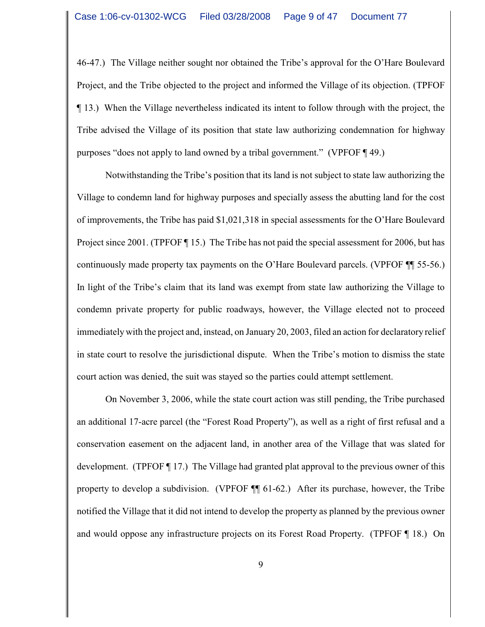46-47.) The Village neither sought nor obtained the Tribe's approval for the O'Hare Boulevard Project, and the Tribe objected to the project and informed the Village of its objection. (TPFOF ¶ 13.) When the Village nevertheless indicated its intent to follow through with the project, the Tribe advised the Village of its position that state law authorizing condemnation for highway purposes "does not apply to land owned by a tribal government." (VPFOF ¶ 49.)

Notwithstanding the Tribe's position that its land is not subject to state law authorizing the Village to condemn land for highway purposes and specially assess the abutting land for the cost of improvements, the Tribe has paid \$1,021,318 in special assessments for the O'Hare Boulevard Project since 2001. (TPFOF ¶ 15.) The Tribe has not paid the special assessment for 2006, but has continuously made property tax payments on the O'Hare Boulevard parcels. (VPFOF ¶¶ 55-56.) In light of the Tribe's claim that its land was exempt from state law authorizing the Village to condemn private property for public roadways, however, the Village elected not to proceed immediately with the project and, instead, on January 20, 2003, filed an action for declaratory relief in state court to resolve the jurisdictional dispute. When the Tribe's motion to dismiss the state court action was denied, the suit was stayed so the parties could attempt settlement.

On November 3, 2006, while the state court action was still pending, the Tribe purchased an additional 17-acre parcel (the "Forest Road Property"), as well as a right of first refusal and a conservation easement on the adjacent land, in another area of the Village that was slated for development. (TPFOF ¶ 17.) The Village had granted plat approval to the previous owner of this property to develop a subdivision. (VPFOF ¶¶ 61-62.) After its purchase, however, the Tribe notified the Village that it did not intend to develop the property as planned by the previous owner and would oppose any infrastructure projects on its Forest Road Property. (TPFOF ¶ 18.) On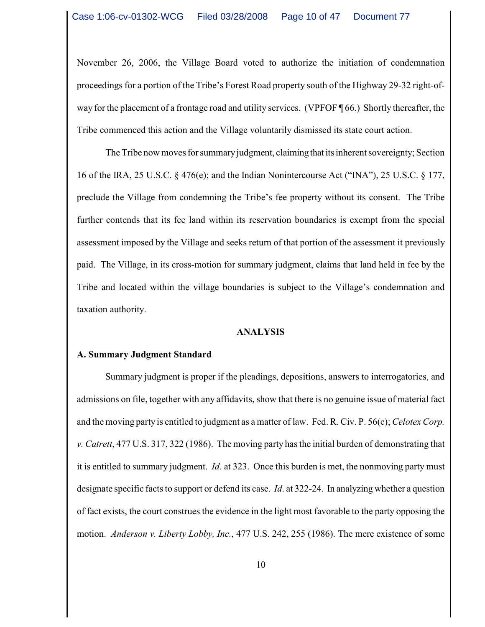November 26, 2006, the Village Board voted to authorize the initiation of condemnation proceedings for a portion of the Tribe's Forest Road property south of the Highway 29-32 right-ofway for the placement of a frontage road and utility services. (VPFOF ¶ 66.) Shortly thereafter, the Tribe commenced this action and the Village voluntarily dismissed its state court action.

The Tribe now moves for summary judgment, claiming that its inherent sovereignty; Section 16 of the IRA, 25 U.S.C. § 476(e); and the Indian Nonintercourse Act ("INA"), 25 U.S.C. § 177, preclude the Village from condemning the Tribe's fee property without its consent. The Tribe further contends that its fee land within its reservation boundaries is exempt from the special assessment imposed by the Village and seeks return of that portion of the assessment it previously paid. The Village, in its cross-motion for summary judgment, claims that land held in fee by the Tribe and located within the village boundaries is subject to the Village's condemnation and taxation authority.

#### **ANALYSIS**

### **A. Summary Judgment Standard**

Summary judgment is proper if the pleadings, depositions, answers to interrogatories, and admissions on file, together with any affidavits, show that there is no genuine issue of material fact and the moving party is entitled to judgment as a matter of law. Fed. R. Civ. P. 56(c); *Celotex Corp. v. Catrett*, 477 U.S. 317, 322 (1986). The moving party has the initial burden of demonstrating that it is entitled to summary judgment. *Id*. at 323. Once this burden is met, the nonmoving party must designate specific facts to support or defend its case. *Id*. at 322-24. In analyzing whether a question of fact exists, the court construes the evidence in the light most favorable to the party opposing the motion. *Anderson v. Liberty Lobby, Inc.*, 477 U.S. 242, 255 (1986). The mere existence of some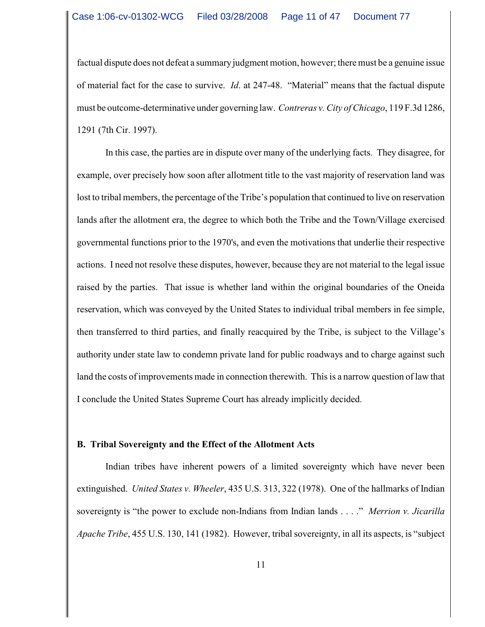factual dispute does not defeat a summary judgment motion, however; there must be a genuine issue of material fact for the case to survive. *Id*. at 247-48. "Material" means that the factual dispute must be outcome-determinative under governing law. *Contreras v. City of Chicago*, 119 F.3d 1286, 1291 (7th Cir. 1997).

In this case, the parties are in dispute over many of the underlying facts. They disagree, for example, over precisely how soon after allotment title to the vast majority of reservation land was lost to tribal members, the percentage of the Tribe's population that continued to live on reservation lands after the allotment era, the degree to which both the Tribe and the Town/Village exercised governmental functions prior to the 1970's, and even the motivations that underlie their respective actions. I need not resolve these disputes, however, because they are not material to the legal issue raised by the parties. That issue is whether land within the original boundaries of the Oneida reservation, which was conveyed by the United States to individual tribal members in fee simple, then transferred to third parties, and finally reacquired by the Tribe, is subject to the Village's authority under state law to condemn private land for public roadways and to charge against such land the costs of improvements made in connection therewith. This is a narrow question of law that I conclude the United States Supreme Court has already implicitly decided.

### **B. Tribal Sovereignty and the Effect of the Allotment Acts**

Indian tribes have inherent powers of a limited sovereignty which have never been extinguished. *United States v. Wheeler*, 435 U.S. 313, 322 (1978). One of the hallmarks of Indian sovereignty is "the power to exclude non-Indians from Indian lands . . . ." *Merrion v. Jicarilla Apache Tribe*, 455 U.S. 130, 141 (1982). However, tribal sovereignty, in all its aspects, is "subject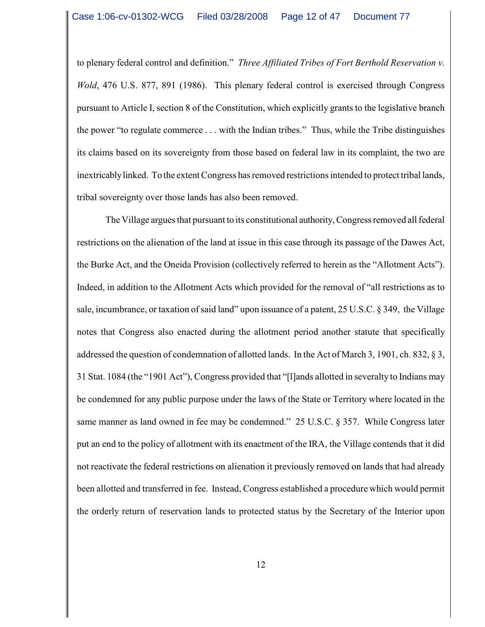to plenary federal control and definition." *Three Affiliated Tribes of Fort Berthold Reservation v. Wold*, 476 U.S. 877, 891 (1986). This plenary federal control is exercised through Congress pursuant to Article I, section 8 of the Constitution, which explicitly grants to the legislative branch the power "to regulate commerce . . . with the Indian tribes." Thus, while the Tribe distinguishes its claims based on its sovereignty from those based on federal law in its complaint, the two are inextricably linked. To the extent Congress has removed restrictions intended to protect tribal lands, tribal sovereignty over those lands has also been removed.

The Village argues that pursuant to its constitutional authority, Congress removed all federal restrictions on the alienation of the land at issue in this case through its passage of the Dawes Act, the Burke Act, and the Oneida Provision (collectively referred to herein as the "Allotment Acts"). Indeed, in addition to the Allotment Acts which provided for the removal of "all restrictions as to sale, incumbrance, or taxation of said land" upon issuance of a patent, 25 U.S.C. § 349, the Village notes that Congress also enacted during the allotment period another statute that specifically addressed the question of condemnation of allotted lands. In the Act of March 3, 1901, ch. 832, § 3, 31 Stat. 1084 (the "1901 Act"), Congress provided that "[l]ands allotted in severalty to Indians may be condemned for any public purpose under the laws of the State or Territory where located in the same manner as land owned in fee may be condemned." 25 U.S.C. § 357. While Congress later put an end to the policy of allotment with its enactment of the IRA, the Village contends that it did not reactivate the federal restrictions on alienation it previously removed on lands that had already been allotted and transferred in fee. Instead, Congress established a procedure which would permit the orderly return of reservation lands to protected status by the Secretary of the Interior upon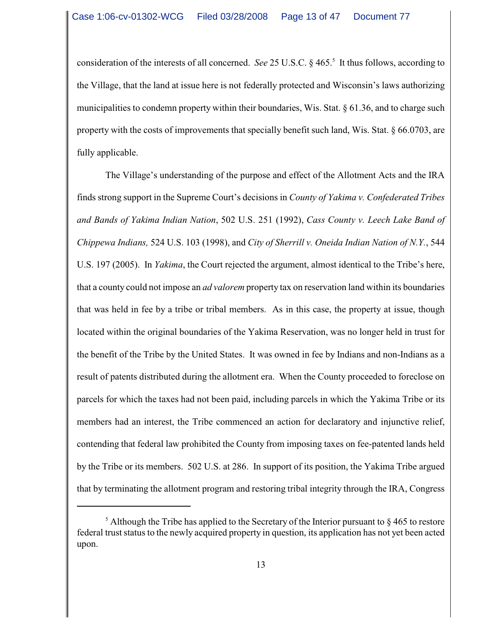consideration of the interests of all concerned. *See* 25 U.S.C. § 465.<sup>5</sup> It thus follows, according to the Village, that the land at issue here is not federally protected and Wisconsin's laws authorizing municipalities to condemn property within their boundaries, Wis. Stat. § 61.36, and to charge such property with the costs of improvements that specially benefit such land, Wis. Stat. § 66.0703, are fully applicable.

The Village's understanding of the purpose and effect of the Allotment Acts and the IRA finds strong support in the Supreme Court's decisions in *County of Yakima v. Confederated Tribes and Bands of Yakima Indian Nation*, 502 U.S. 251 (1992), *Cass County v. Leech Lake Band of Chippewa Indians,* 524 U.S. 103 (1998), and *City of Sherrill v. Oneida Indian Nation of N.Y.*, 544 U.S. 197 (2005). In *Yakima*, the Court rejected the argument, almost identical to the Tribe's here, that a county could not impose an *ad valorem* property tax on reservation land within its boundaries that was held in fee by a tribe or tribal members. As in this case, the property at issue, though located within the original boundaries of the Yakima Reservation, was no longer held in trust for the benefit of the Tribe by the United States. It was owned in fee by Indians and non-Indians as a result of patents distributed during the allotment era. When the County proceeded to foreclose on parcels for which the taxes had not been paid, including parcels in which the Yakima Tribe or its members had an interest, the Tribe commenced an action for declaratory and injunctive relief, contending that federal law prohibited the County from imposing taxes on fee-patented lands held by the Tribe or its members. 502 U.S. at 286. In support of its position, the Yakima Tribe argued that by terminating the allotment program and restoring tribal integrity through the IRA, Congress

 $\frac{1}{2}$  Although the Tribe has applied to the Secretary of the Interior pursuant to § 465 to restore federal trust status to the newly acquired property in question, its application has not yet been acted upon.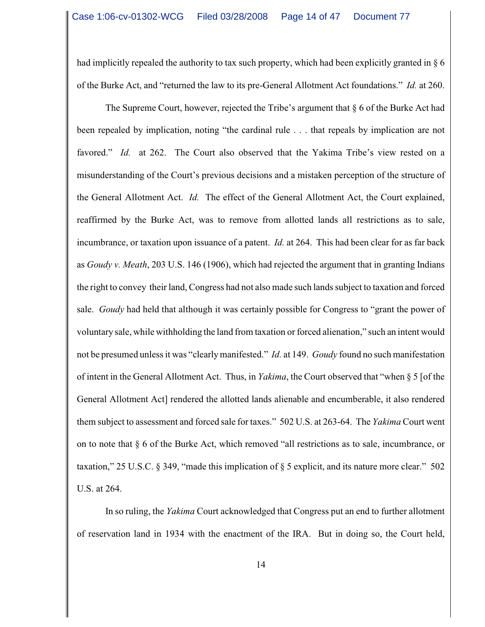had implicitly repealed the authority to tax such property, which had been explicitly granted in § 6 of the Burke Act, and "returned the law to its pre-General Allotment Act foundations." *Id.* at 260.

The Supreme Court, however, rejected the Tribe's argument that  $\S 6$  of the Burke Act had been repealed by implication, noting "the cardinal rule . . . that repeals by implication are not favored." *Id.* at 262. The Court also observed that the Yakima Tribe's view rested on a misunderstanding of the Court's previous decisions and a mistaken perception of the structure of the General Allotment Act. *Id.* The effect of the General Allotment Act, the Court explained, reaffirmed by the Burke Act, was to remove from allotted lands all restrictions as to sale, incumbrance, or taxation upon issuance of a patent. *Id.* at 264. This had been clear for as far back as *Goudy v. Meath*, 203 U.S. 146 (1906), which had rejected the argument that in granting Indians the right to convey their land, Congress had not also made such lands subject to taxation and forced sale. *Goudy* had held that although it was certainly possible for Congress to "grant the power of voluntary sale, while withholding the land from taxation or forced alienation," such an intent would not be presumed unless it was "clearly manifested." *Id.* at 149. *Goudy* found no such manifestation of intent in the General Allotment Act. Thus, in *Yakima*, the Court observed that "when § 5 [of the General Allotment Act] rendered the allotted lands alienable and encumberable, it also rendered them subject to assessment and forced sale for taxes." 502 U.S. at 263-64. The *Yakima* Court went on to note that § 6 of the Burke Act, which removed "all restrictions as to sale, incumbrance, or taxation," 25 U.S.C. § 349, "made this implication of § 5 explicit, and its nature more clear." 502 U.S. at 264.

In so ruling, the *Yakima* Court acknowledged that Congress put an end to further allotment of reservation land in 1934 with the enactment of the IRA. But in doing so, the Court held,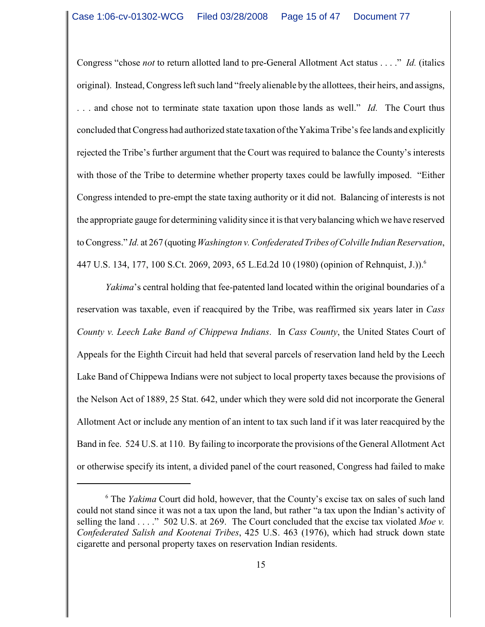Congress "chose *not* to return allotted land to pre-General Allotment Act status . . . ." *Id.* (italics original). Instead, Congress left such land "freely alienable by the allottees, their heirs, and assigns, . . . and chose not to terminate state taxation upon those lands as well." *Id.* The Court thus concluded that Congress had authorized state taxation of the Yakima Tribe's fee lands and explicitly rejected the Tribe's further argument that the Court was required to balance the County's interests with those of the Tribe to determine whether property taxes could be lawfully imposed. "Either Congress intended to pre-empt the state taxing authority or it did not. Balancing of interests is not the appropriate gauge for determining validitysince it is that verybalancing which we have reserved to Congress." *Id.* at 267 (quoting *Washington v. Confederated Tribes of Colville Indian Reservation*, 447 U.S. 134, 177, 100 S.Ct. 2069, 2093, 65 L.Ed.2d 10 (1980) (opinion of Rehnquist, J.)).<sup>6</sup>

*Yakima*'s central holding that fee-patented land located within the original boundaries of a reservation was taxable, even if reacquired by the Tribe, was reaffirmed six years later in *Cass County v. Leech Lake Band of Chippewa Indians*. In *Cass County*, the United States Court of Appeals for the Eighth Circuit had held that several parcels of reservation land held by the Leech Lake Band of Chippewa Indians were not subject to local property taxes because the provisions of the Nelson Act of 1889, 25 Stat. 642, under which they were sold did not incorporate the General Allotment Act or include any mention of an intent to tax such land if it was later reacquired by the Band in fee. 524 U.S. at 110. By failing to incorporate the provisions of the General Allotment Act or otherwise specify its intent, a divided panel of the court reasoned, Congress had failed to make

<sup>&</sup>lt;sup>6</sup> The *Yakima* Court did hold, however, that the County's excise tax on sales of such land could not stand since it was not a tax upon the land, but rather "a tax upon the Indian's activity of selling the land . . . ." 502 U.S. at 269. The Court concluded that the excise tax violated *Moe v. Confederated Salish and Kootenai Tribes*, 425 U.S. 463 (1976), which had struck down state cigarette and personal property taxes on reservation Indian residents.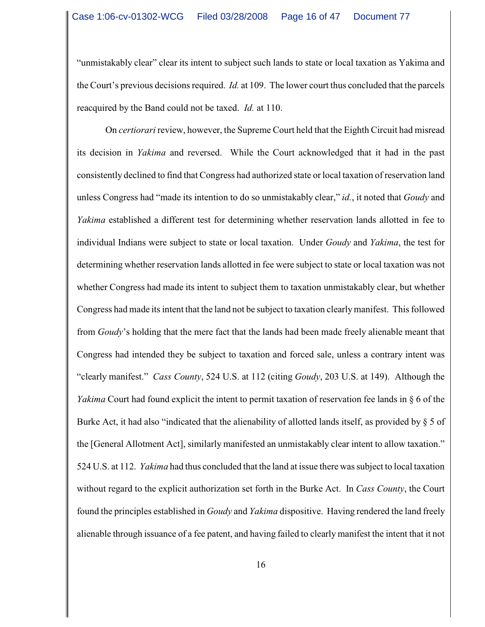"unmistakably clear" clear its intent to subject such lands to state or local taxation as Yakima and the Court's previous decisions required. *Id.* at 109. The lower court thus concluded that the parcels reacquired by the Band could not be taxed. *Id.* at 110.

On *certiorari* review, however, the Supreme Court held that the Eighth Circuit had misread its decision in *Yakima* and reversed. While the Court acknowledged that it had in the past consistently declined to find that Congress had authorized state orlocal taxation of reservation land unless Congress had "made its intention to do so unmistakably clear," *id.*, it noted that *Goudy* and *Yakima* established a different test for determining whether reservation lands allotted in fee to individual Indians were subject to state or local taxation. Under *Goudy* and *Yakima*, the test for determining whether reservation lands allotted in fee were subject to state or local taxation was not whether Congress had made its intent to subject them to taxation unmistakably clear, but whether Congress had made its intent that the land not be subject to taxation clearly manifest. This followed from *Goudy*'s holding that the mere fact that the lands had been made freely alienable meant that Congress had intended they be subject to taxation and forced sale, unless a contrary intent was "clearly manifest." *Cass County*, 524 U.S. at 112 (citing *Goudy*, 203 U.S. at 149). Although the *Yakima* Court had found explicit the intent to permit taxation of reservation fee lands in § 6 of the Burke Act, it had also "indicated that the alienability of allotted lands itself, as provided by § 5 of the [General Allotment Act], similarly manifested an unmistakably clear intent to allow taxation." 524 U.S. at 112. *Yakima* had thus concluded that the land at issue there was subject to local taxation without regard to the explicit authorization set forth in the Burke Act. In *Cass County*, the Court found the principles established in *Goudy* and *Yakima* dispositive. Having rendered the land freely alienable through issuance of a fee patent, and having failed to clearly manifest the intent that it not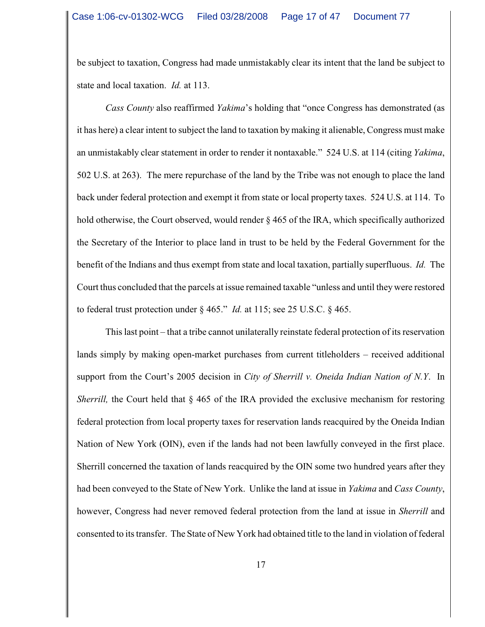be subject to taxation, Congress had made unmistakably clear its intent that the land be subject to state and local taxation. *Id.* at 113.

*Cass County* also reaffirmed *Yakima*'s holding that "once Congress has demonstrated (as it has here) a clear intent to subject the land to taxation by making it alienable, Congress must make an unmistakably clear statement in order to render it nontaxable." 524 U.S. at 114 (citing *Yakima*, 502 U.S. at 263). The mere repurchase of the land by the Tribe was not enough to place the land back under federal protection and exempt it from state or local property taxes. 524 U.S. at 114. To hold otherwise, the Court observed, would render § 465 of the IRA, which specifically authorized the Secretary of the Interior to place land in trust to be held by the Federal Government for the benefit of the Indians and thus exempt from state and local taxation, partially superfluous. *Id.* The Court thus concluded that the parcels at issue remained taxable "unless and until they were restored to federal trust protection under § 465." *Id.* at 115; see 25 U.S.C. § 465.

This last point – that a tribe cannot unilaterally reinstate federal protection of its reservation lands simply by making open-market purchases from current titleholders – received additional support from the Court's 2005 decision in *City of Sherrill v. Oneida Indian Nation of N.Y*. In *Sherrill*, the Court held that § 465 of the IRA provided the exclusive mechanism for restoring federal protection from local property taxes for reservation lands reacquired by the Oneida Indian Nation of New York (OIN), even if the lands had not been lawfully conveyed in the first place. Sherrill concerned the taxation of lands reacquired by the OIN some two hundred years after they had been conveyed to the State of New York. Unlike the land at issue in *Yakima* and *Cass County*, however, Congress had never removed federal protection from the land at issue in *Sherrill* and consented to its transfer. The State of New York had obtained title to the land in violation of federal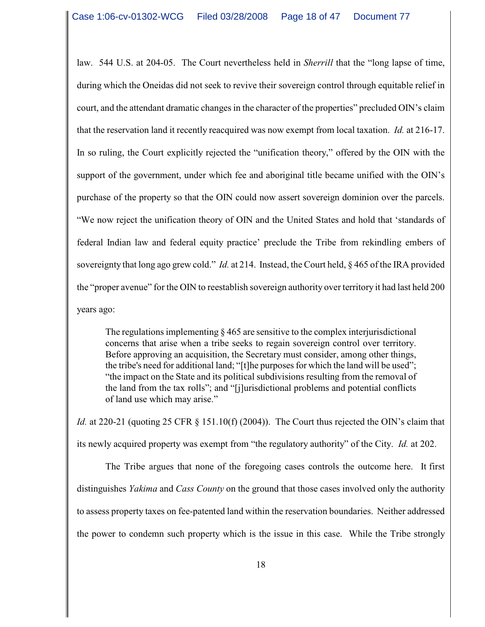law. 544 U.S. at 204-05. The Court nevertheless held in *Sherrill* that the "long lapse of time, during which the Oneidas did not seek to revive their sovereign control through equitable relief in court, and the attendant dramatic changes in the character of the properties" precluded OIN's claim that the reservation land it recently reacquired was now exempt from local taxation. *Id.* at 216-17. In so ruling, the Court explicitly rejected the "unification theory," offered by the OIN with the support of the government, under which fee and aboriginal title became unified with the OIN's purchase of the property so that the OIN could now assert sovereign dominion over the parcels. "We now reject the unification theory of OIN and the United States and hold that 'standards of federal Indian law and federal equity practice' preclude the Tribe from rekindling embers of sovereignty that long ago grew cold." *Id.* at 214. Instead, the Court held, § 465 of the IRA provided the "proper avenue" for the OIN to reestablish sovereign authority over territory it had last held 200 years ago:

The regulations implementing  $\S 465$  are sensitive to the complex interjurisdictional concerns that arise when a tribe seeks to regain sovereign control over territory. Before approving an acquisition, the Secretary must consider, among other things, the tribe's need for additional land; "[t]he purposes for which the land will be used"; "the impact on the State and its political subdivisions resulting from the removal of the land from the tax rolls"; and "[j]urisdictional problems and potential conflicts of land use which may arise."

*Id.* at 220-21 (quoting 25 CFR § 151.10(f) (2004)). The Court thus rejected the OIN's claim that its newly acquired property was exempt from "the regulatory authority" of the City. *Id.* at 202.

The Tribe argues that none of the foregoing cases controls the outcome here. It first distinguishes *Yakima* and *Cass County* on the ground that those cases involved only the authority to assess property taxes on fee-patented land within the reservation boundaries. Neither addressed the power to condemn such property which is the issue in this case. While the Tribe strongly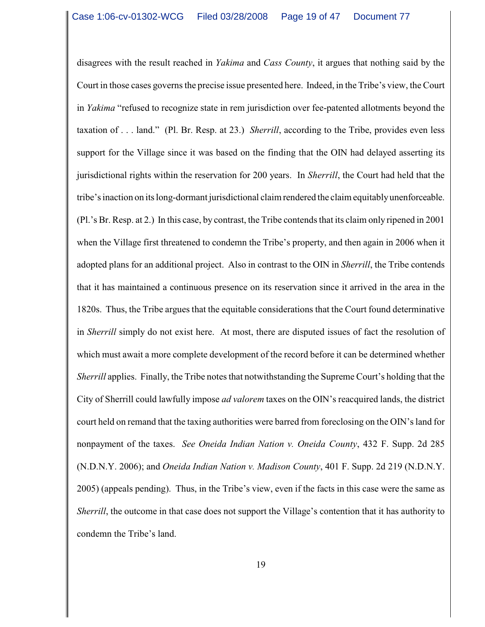disagrees with the result reached in *Yakima* and *Cass County*, it argues that nothing said by the Court in those cases governs the precise issue presented here. Indeed, in the Tribe's view, the Court in *Yakima* "refused to recognize state in rem jurisdiction over fee-patented allotments beyond the taxation of . . . land." (Pl. Br. Resp. at 23.) *Sherrill*, according to the Tribe, provides even less support for the Village since it was based on the finding that the OIN had delayed asserting its jurisdictional rights within the reservation for 200 years. In *Sherrill*, the Court had held that the tribe's inaction on its long-dormant jurisdictional claim rendered the claim equitably unenforceable. (Pl.'s Br. Resp. at 2.) In this case, by contrast, the Tribe contends that its claim only ripened in 2001 when the Village first threatened to condemn the Tribe's property, and then again in 2006 when it adopted plans for an additional project. Also in contrast to the OIN in *Sherrill*, the Tribe contends that it has maintained a continuous presence on its reservation since it arrived in the area in the 1820s. Thus, the Tribe argues that the equitable considerations that the Court found determinative in *Sherrill* simply do not exist here. At most, there are disputed issues of fact the resolution of which must await a more complete development of the record before it can be determined whether *Sherrill* applies. Finally, the Tribe notes that notwithstanding the Supreme Court's holding that the City of Sherrill could lawfully impose *ad valorem* taxes on the OIN's reacquired lands, the district court held on remand that the taxing authorities were barred from foreclosing on the OIN's land for nonpayment of the taxes. *See Oneida Indian Nation v. Oneida County*, 432 F. Supp. 2d 285 (N.D.N.Y. 2006); and *Oneida Indian Nation v. Madison County*, 401 F. Supp. 2d 219 (N.D.N.Y. 2005) (appeals pending). Thus, in the Tribe's view, even if the facts in this case were the same as *Sherrill*, the outcome in that case does not support the Village's contention that it has authority to condemn the Tribe's land.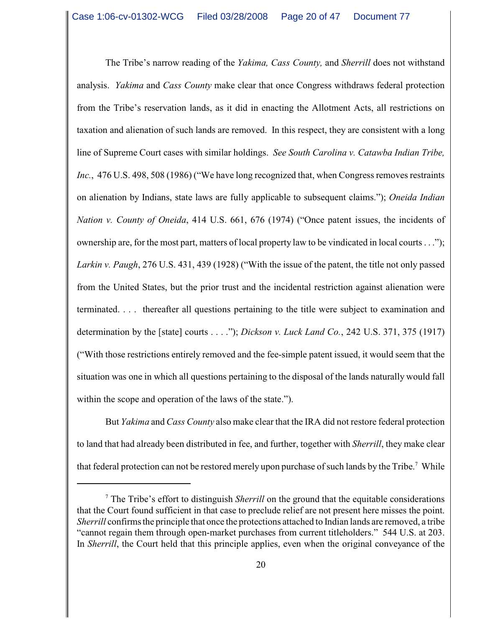The Tribe's narrow reading of the *Yakima, Cass County,* and *Sherrill* does not withstand analysis. *Yakima* and *Cass County* make clear that once Congress withdraws federal protection from the Tribe's reservation lands, as it did in enacting the Allotment Acts, all restrictions on taxation and alienation of such lands are removed. In this respect, they are consistent with a long line of Supreme Court cases with similar holdings. *See South Carolina v. Catawba Indian Tribe, Inc.*, 476 U.S. 498, 508 (1986) ("We have long recognized that, when Congress removes restraints on alienation by Indians, state laws are fully applicable to subsequent claims."); *Oneida Indian Nation v. County of Oneida*, 414 U.S. 661, 676 (1974) ("Once patent issues, the incidents of ownership are, for the most part, matters of local property law to be vindicated in local courts . . ."); *Larkin v. Paugh*, 276 U.S. 431, 439 (1928) ("With the issue of the patent, the title not only passed from the United States, but the prior trust and the incidental restriction against alienation were terminated. . . . thereafter all questions pertaining to the title were subject to examination and determination by the [state] courts . . . ."); *Dickson v. Luck Land Co.*, 242 U.S. 371, 375 (1917) ("With those restrictions entirely removed and the fee-simple patent issued, it would seem that the situation was one in which all questions pertaining to the disposal of the lands naturally would fall within the scope and operation of the laws of the state.").

But *Yakima* and *Cass County* also make clear that the IRA did not restore federal protection to land that had already been distributed in fee, and further, together with *Sherrill*, they make clear that federal protection can not be restored merely upon purchase of such lands by the Tribe.<sup>7</sup> While

The Tribe's effort to distinguish *Sherrill* on the ground that the equitable considerations <sup>7</sup> that the Court found sufficient in that case to preclude relief are not present here misses the point. *Sherrill* confirms the principle that once the protections attached to Indian lands are removed, a tribe "cannot regain them through open-market purchases from current titleholders." 544 U.S. at 203. In *Sherrill*, the Court held that this principle applies, even when the original conveyance of the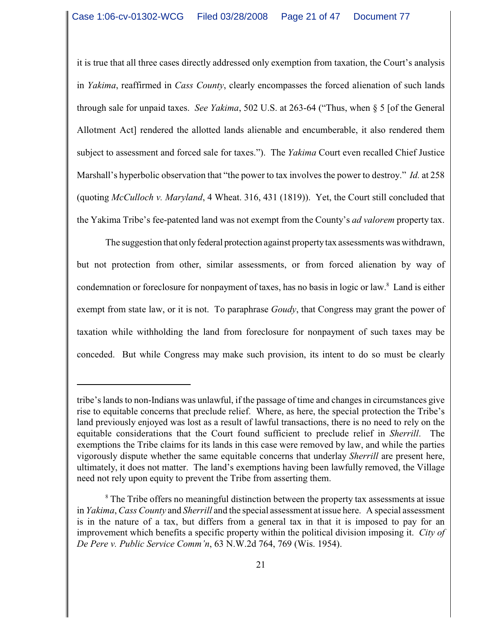it is true that all three cases directly addressed only exemption from taxation, the Court's analysis in *Yakima*, reaffirmed in *Cass County*, clearly encompasses the forced alienation of such lands through sale for unpaid taxes. *See Yakima*, 502 U.S. at 263-64 ("Thus, when § 5 [of the General Allotment Act] rendered the allotted lands alienable and encumberable, it also rendered them subject to assessment and forced sale for taxes."). The *Yakima* Court even recalled Chief Justice Marshall's hyperbolic observation that "the power to tax involves the power to destroy." *Id.* at 258 (quoting *McCulloch v. Maryland*, 4 Wheat. 316, 431 (1819)). Yet, the Court still concluded that the Yakima Tribe's fee-patented land was not exempt from the County's *ad valorem* property tax.

The suggestion that only federal protection against property tax assessments was withdrawn, but not protection from other, similar assessments, or from forced alienation by way of condemnation or foreclosure for nonpayment of taxes, has no basis in logic or law.<sup>8</sup> Land is either exempt from state law, or it is not. To paraphrase *Goudy*, that Congress may grant the power of taxation while withholding the land from foreclosure for nonpayment of such taxes may be conceded. But while Congress may make such provision, its intent to do so must be clearly

tribe's lands to non-Indians was unlawful, if the passage of time and changes in circumstances give rise to equitable concerns that preclude relief. Where, as here, the special protection the Tribe's land previously enjoyed was lost as a result of lawful transactions, there is no need to rely on the equitable considerations that the Court found sufficient to preclude relief in *Sherrill*. The exemptions the Tribe claims for its lands in this case were removed by law, and while the parties vigorously dispute whether the same equitable concerns that underlay *Sherrill* are present here, ultimately, it does not matter. The land's exemptions having been lawfully removed, the Village need not rely upon equity to prevent the Tribe from asserting them.

<sup>&</sup>lt;sup>8</sup> The Tribe offers no meaningful distinction between the property tax assessments at issue in *Yakima*, *Cass County* and *Sherrill* and the special assessment at issue here. A special assessment is in the nature of a tax, but differs from a general tax in that it is imposed to pay for an improvement which benefits a specific property within the political division imposing it. *City of De Pere v. Public Service Comm'n*, 63 N.W.2d 764, 769 (Wis. 1954).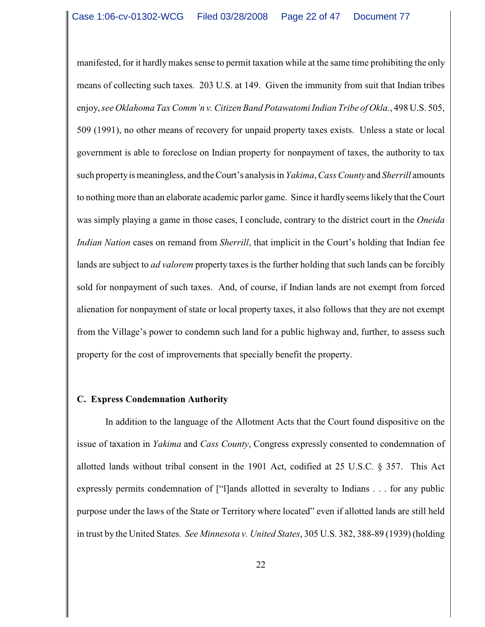manifested, for it hardly makes sense to permit taxation while at the same time prohibiting the only means of collecting such taxes. 203 U.S. at 149. Given the immunity from suit that Indian tribes enjoy, *see Oklahoma Tax Comm'n v. Citizen Band Potawatomi Indian Tribe of Okla.*, 498 U.S. 505, 509 (1991), no other means of recovery for unpaid property taxes exists. Unless a state or local government is able to foreclose on Indian property for nonpayment of taxes, the authority to tax such property is meaningless, and the Court's analysis in *Yakima*, *Cass County* and *Sherrill* amounts to nothing more than an elaborate academic parlor game. Since it hardly seems likely that the Court was simply playing a game in those cases, I conclude, contrary to the district court in the *Oneida Indian Nation* cases on remand from *Sherrill*, that implicit in the Court's holding that Indian fee lands are subject to *ad valorem* property taxes is the further holding that such lands can be forcibly sold for nonpayment of such taxes. And, of course, if Indian lands are not exempt from forced alienation for nonpayment of state or local property taxes, it also follows that they are not exempt from the Village's power to condemn such land for a public highway and, further, to assess such property for the cost of improvements that specially benefit the property.

### **C. Express Condemnation Authority**

In addition to the language of the Allotment Acts that the Court found dispositive on the issue of taxation in *Yakima* and *Cass County*, Congress expressly consented to condemnation of allotted lands without tribal consent in the 1901 Act, codified at 25 U.S.C. § 357. This Act expressly permits condemnation of ["l]ands allotted in severalty to Indians . . . for any public purpose under the laws of the State or Territory where located" even if allotted lands are still held in trust by the United States. *See Minnesota v. United States*, 305 U.S. 382, 388-89 (1939) (holding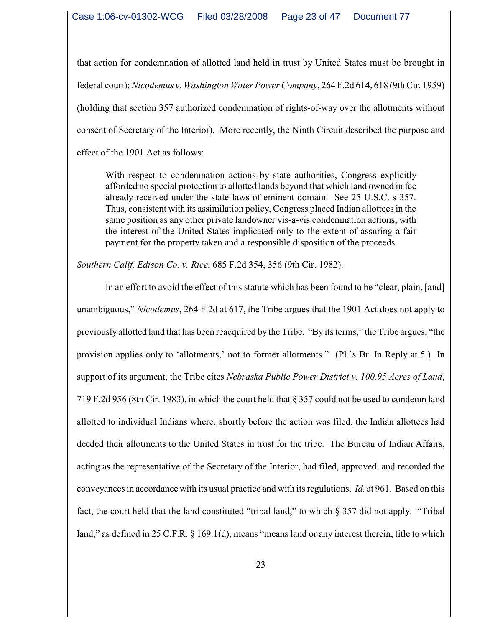that action for condemnation of allotted land held in trust by United States must be brought in federal court);*Nicodemus v. Washington Water Power Company*, 264 F.2d 614, 618 (9th Cir. 1959) (holding that section 357 authorized condemnation of rights-of-way over the allotments without consent of Secretary of the Interior). More recently, the Ninth Circuit described the purpose and effect of the 1901 Act as follows:

With respect to condemnation actions by state authorities, Congress explicitly afforded no special protection to allotted lands beyond that which land owned in fee already received under the state laws of eminent domain. See 25 U.S.C. s 357. Thus, consistent with its assimilation policy, Congress placed Indian allottees in the same position as any other private landowner vis-a-vis condemnation actions, with the interest of the United States implicated only to the extent of assuring a fair payment for the property taken and a responsible disposition of the proceeds.

*Southern Calif. Edison Co. v. Rice*, 685 F.2d 354, 356 (9th Cir. 1982).

In an effort to avoid the effect of this statute which has been found to be "clear, plain, [and] unambiguous," *Nicodemus*, 264 F.2d at 617, the Tribe argues that the 1901 Act does not apply to previously allotted land that has been reacquired by the Tribe. "By its terms," the Tribe argues, "the provision applies only to 'allotments,' not to former allotments." (Pl.'s Br. In Reply at 5.) In support of its argument, the Tribe cites *Nebraska Public Power District v. 100.95 Acres of Land*, 719 F.2d 956 (8th Cir. 1983), in which the court held that § 357 could not be used to condemn land allotted to individual Indians where, shortly before the action was filed, the Indian allottees had deeded their allotments to the United States in trust for the tribe. The Bureau of Indian Affairs, acting as the representative of the Secretary of the Interior, had filed, approved, and recorded the conveyances in accordance with its usual practice and with its regulations. *Id.* at 961. Based on this fact, the court held that the land constituted "tribal land," to which § 357 did not apply. "Tribal land," as defined in 25 C.F.R. § 169.1(d), means "means land or any interest therein, title to which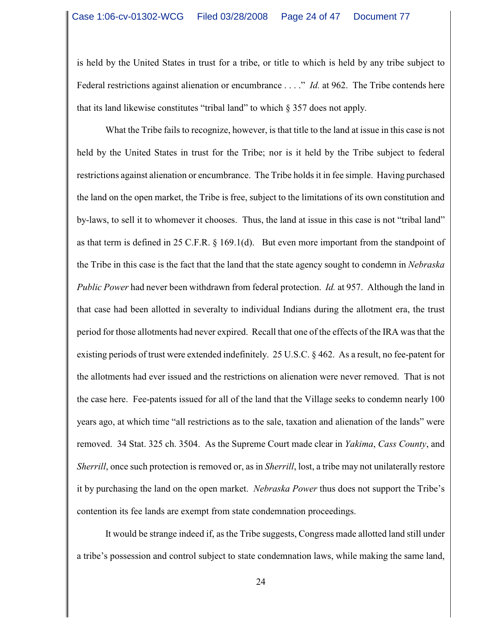is held by the United States in trust for a tribe, or title to which is held by any tribe subject to Federal restrictions against alienation or encumbrance . . . ." *Id.* at 962. The Tribe contends here that its land likewise constitutes "tribal land" to which § 357 does not apply.

What the Tribe fails to recognize, however, is that title to the land at issue in this case is not held by the United States in trust for the Tribe; nor is it held by the Tribe subject to federal restrictions against alienation or encumbrance. The Tribe holds it in fee simple. Having purchased the land on the open market, the Tribe is free, subject to the limitations of its own constitution and by-laws, to sell it to whomever it chooses. Thus, the land at issue in this case is not "tribal land" as that term is defined in 25 C.F.R. § 169.1(d). But even more important from the standpoint of the Tribe in this case is the fact that the land that the state agency sought to condemn in *Nebraska Public Power* had never been withdrawn from federal protection. *Id.* at 957. Although the land in that case had been allotted in severalty to individual Indians during the allotment era, the trust period for those allotments had never expired. Recall that one of the effects of the IRA was that the existing periods of trust were extended indefinitely. 25 U.S.C. § 462. As a result, no fee-patent for the allotments had ever issued and the restrictions on alienation were never removed. That is not the case here. Fee-patents issued for all of the land that the Village seeks to condemn nearly 100 years ago, at which time "all restrictions as to the sale, taxation and alienation of the lands" were removed. 34 Stat. 325 ch. 3504. As the Supreme Court made clear in *Yakima*, *Cass County*, and *Sherrill*, once such protection is removed or, as in *Sherrill*, lost, a tribe may not unilaterally restore it by purchasing the land on the open market. *Nebraska Power* thus does not support the Tribe's contention its fee lands are exempt from state condemnation proceedings.

It would be strange indeed if, as the Tribe suggests, Congress made allotted land still under a tribe's possession and control subject to state condemnation laws, while making the same land,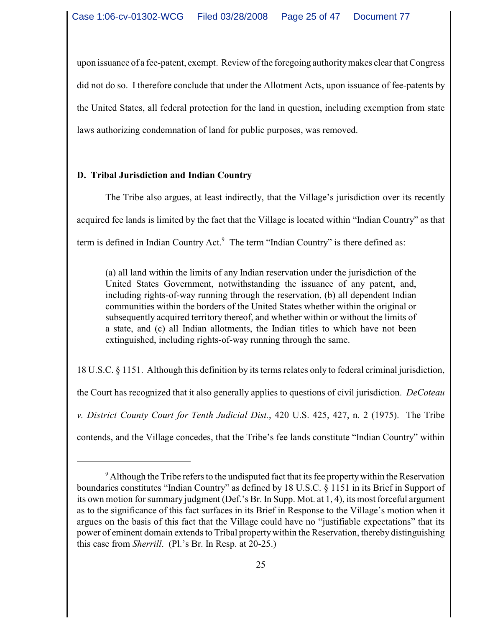upon issuance of a fee-patent, exempt. Review of the foregoing authority makes clear that Congress did not do so. I therefore conclude that under the Allotment Acts, upon issuance of fee-patents by the United States, all federal protection for the land in question, including exemption from state laws authorizing condemnation of land for public purposes, was removed.

# **D. Tribal Jurisdiction and Indian Country**

The Tribe also argues, at least indirectly, that the Village's jurisdiction over its recently acquired fee lands is limited by the fact that the Village is located within "Indian Country" as that term is defined in Indian Country Act.<sup>9</sup> The term "Indian Country" is there defined as:

(a) all land within the limits of any Indian reservation under the jurisdiction of the United States Government, notwithstanding the issuance of any patent, and, including rights-of-way running through the reservation, (b) all dependent Indian communities within the borders of the United States whether within the original or subsequently acquired territory thereof, and whether within or without the limits of a state, and (c) all Indian allotments, the Indian titles to which have not been extinguished, including rights-of-way running through the same.

18 U.S.C. § 1151. Although this definition by its terms relates only to federal criminal jurisdiction, the Court has recognized that it also generally applies to questions of civil jurisdiction. *DeCoteau v. District County Court for Tenth Judicial Dist.*, 420 U.S. 425, 427, n. 2 (1975). The Tribe contends, and the Village concedes, that the Tribe's fee lands constitute "Indian Country" within

 $\degree$  Although the Tribe refers to the undisputed fact that its fee property within the Reservation boundaries constitutes "Indian Country" as defined by 18 U.S.C. § 1151 in its Brief in Support of its own motion for summary judgment (Def.'s Br. In Supp. Mot. at 1, 4), its most forceful argument as to the significance of this fact surfaces in its Brief in Response to the Village's motion when it argues on the basis of this fact that the Village could have no "justifiable expectations" that its power of eminent domain extends to Tribal propertywithin the Reservation, thereby distinguishing this case from *Sherrill*. (Pl.'s Br. In Resp. at 20-25.)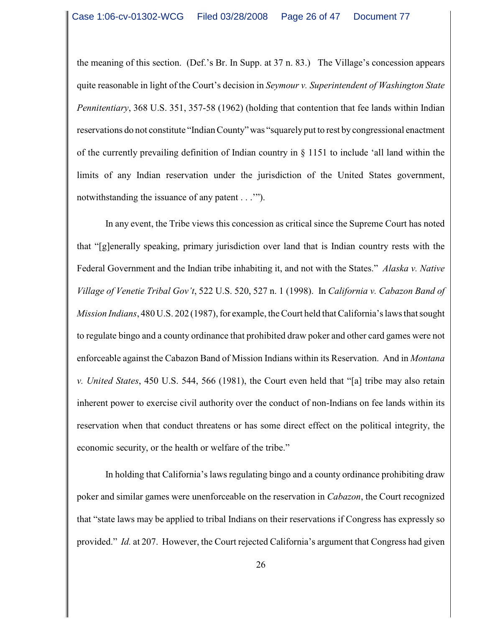the meaning of this section. (Def.'s Br. In Supp. at 37 n. 83.) The Village's concession appears quite reasonable in light of the Court's decision in *Seymour v. Superintendent of Washington State Pennitentiary*, 368 U.S. 351, 357-58 (1962) (holding that contention that fee lands within Indian reservations do not constitute "Indian County" was "squarelyput to rest by congressional enactment of the currently prevailing definition of Indian country in § 1151 to include 'all land within the limits of any Indian reservation under the jurisdiction of the United States government, notwithstanding the issuance of any patent . . .'").

In any event, the Tribe views this concession as critical since the Supreme Court has noted that "[g]enerally speaking, primary jurisdiction over land that is Indian country rests with the Federal Government and the Indian tribe inhabiting it, and not with the States." *Alaska v. Native Village of Venetie Tribal Gov't*, 522 U.S. 520, 527 n. 1 (1998). In *California v. Cabazon Band of Mission Indians*, 480 U.S. 202 (1987), for example, the Court held that California's laws that sought to regulate bingo and a county ordinance that prohibited draw poker and other card games were not enforceable against the Cabazon Band of Mission Indians within its Reservation. And in *Montana v. United States*, 450 U.S. 544, 566 (1981), the Court even held that "[a] tribe may also retain inherent power to exercise civil authority over the conduct of non-Indians on fee lands within its reservation when that conduct threatens or has some direct effect on the political integrity, the economic security, or the health or welfare of the tribe."

In holding that California's laws regulating bingo and a county ordinance prohibiting draw poker and similar games were unenforceable on the reservation in *Cabazon*, the Court recognized that "state laws may be applied to tribal Indians on their reservations if Congress has expressly so provided." *Id.* at 207. However, the Court rejected California's argument that Congress had given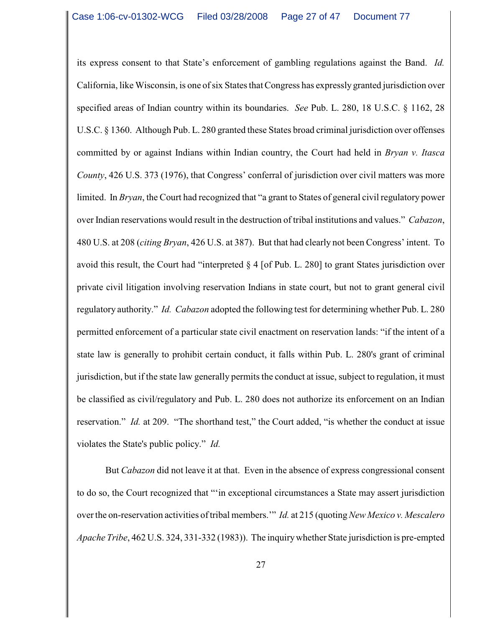its express consent to that State's enforcement of gambling regulations against the Band. *Id.* California, like Wisconsin, is one of six States that Congress has expressly granted jurisdiction over specified areas of Indian country within its boundaries. *See* Pub. L. 280, 18 U.S.C. § 1162, 28 U.S.C. § 1360. Although Pub. L. 280 granted these States broad criminal jurisdiction over offenses committed by or against Indians within Indian country, the Court had held in *Bryan v. Itasca County*, 426 U.S. 373 (1976), that Congress' conferral of jurisdiction over civil matters was more limited. In *Bryan*, the Court had recognized that "a grant to States of general civil regulatory power over Indian reservations would result in the destruction of tribal institutions and values." *Cabazon*, 480 U.S. at 208 (*citing Bryan*, 426 U.S. at 387). But that had clearly not been Congress' intent. To avoid this result, the Court had "interpreted § 4 [of Pub. L. 280] to grant States jurisdiction over private civil litigation involving reservation Indians in state court, but not to grant general civil regulatory authority." *Id. Cabazon* adopted the following test for determining whether Pub. L. 280 permitted enforcement of a particular state civil enactment on reservation lands: "if the intent of a state law is generally to prohibit certain conduct, it falls within Pub. L. 280's grant of criminal jurisdiction, but if the state law generally permits the conduct at issue, subject to regulation, it must be classified as civil/regulatory and Pub. L. 280 does not authorize its enforcement on an Indian reservation." *Id.* at 209. "The shorthand test," the Court added, "is whether the conduct at issue violates the State's public policy." *Id.*

But *Cabazon* did not leave it at that. Even in the absence of express congressional consent to do so, the Court recognized that "'in exceptional circumstances a State may assert jurisdiction over the on-reservation activities oftribal members.'" *Id.* at 215 (quoting *New Mexico v. Mescalero Apache Tribe*, 462 U.S. 324, 331-332 (1983)). The inquirywhether State jurisdiction is pre-empted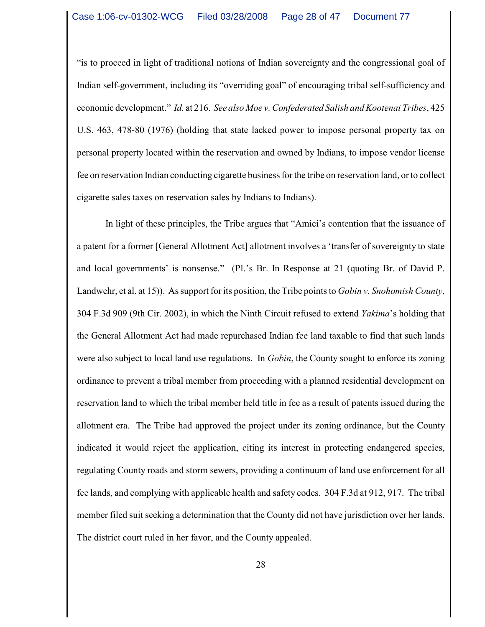"is to proceed in light of traditional notions of Indian sovereignty and the congressional goal of Indian self-government, including its "overriding goal" of encouraging tribal self-sufficiency and economic development." *Id.* at 216. *See also Moe v. Confederated Salish and Kootenai Tribes*, 425 U.S. 463, 478-80 (1976) (holding that state lacked power to impose personal property tax on personal property located within the reservation and owned by Indians, to impose vendor license fee on reservation Indian conducting cigarette business for the tribe on reservation land, or to collect cigarette sales taxes on reservation sales by Indians to Indians).

In light of these principles, the Tribe argues that "Amici's contention that the issuance of a patent for a former [General Allotment Act] allotment involves a 'transfer of sovereignty to state and local governments' is nonsense." (Pl.'s Br. In Response at 21 (quoting Br. of David P. Landwehr, et al. at 15)). As support for its position, the Tribe points to *Gobin v. Snohomish County*, 304 F.3d 909 (9th Cir. 2002), in which the Ninth Circuit refused to extend *Yakima*'s holding that the General Allotment Act had made repurchased Indian fee land taxable to find that such lands were also subject to local land use regulations. In *Gobin*, the County sought to enforce its zoning ordinance to prevent a tribal member from proceeding with a planned residential development on reservation land to which the tribal member held title in fee as a result of patents issued during the allotment era. The Tribe had approved the project under its zoning ordinance, but the County indicated it would reject the application, citing its interest in protecting endangered species, regulating County roads and storm sewers, providing a continuum of land use enforcement for all fee lands, and complying with applicable health and safety codes. 304 F.3d at 912, 917. The tribal member filed suit seeking a determination that the County did not have jurisdiction over her lands. The district court ruled in her favor, and the County appealed.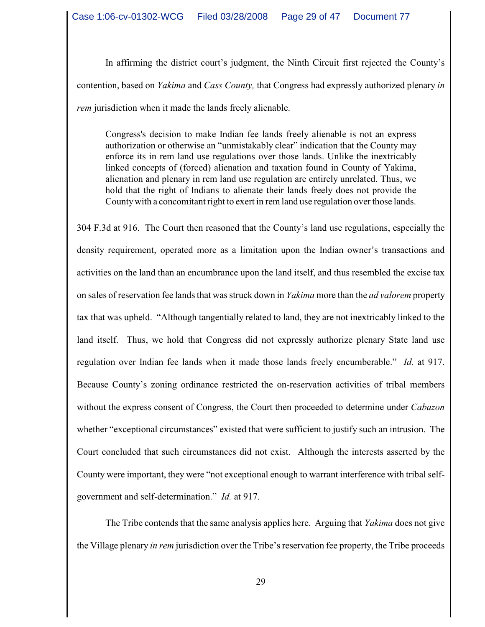In affirming the district court's judgment, the Ninth Circuit first rejected the County's contention, based on *Yakima* and *Cass County,* that Congress had expressly authorized plenary *in rem* jurisdiction when it made the lands freely alienable.

Congress's decision to make Indian fee lands freely alienable is not an express authorization or otherwise an "unmistakably clear" indication that the County may enforce its in rem land use regulations over those lands. Unlike the inextricably linked concepts of (forced) alienation and taxation found in County of Yakima, alienation and plenary in rem land use regulation are entirely unrelated. Thus, we hold that the right of Indians to alienate their lands freely does not provide the County with a concomitant right to exert in rem land use regulation over those lands.

304 F.3d at 916. The Court then reasoned that the County's land use regulations, especially the density requirement, operated more as a limitation upon the Indian owner's transactions and activities on the land than an encumbrance upon the land itself, and thus resembled the excise tax on sales of reservation fee lands that was struck down in *Yakima* more than the *ad valorem* property tax that was upheld. "Although tangentially related to land, they are not inextricably linked to the land itself. Thus, we hold that Congress did not expressly authorize plenary State land use regulation over Indian fee lands when it made those lands freely encumberable." *Id.* at 917. Because County's zoning ordinance restricted the on-reservation activities of tribal members without the express consent of Congress, the Court then proceeded to determine under *Cabazon* whether "exceptional circumstances" existed that were sufficient to justify such an intrusion. The Court concluded that such circumstances did not exist. Although the interests asserted by the County were important, they were "not exceptional enough to warrant interference with tribal selfgovernment and self-determination." *Id.* at 917.

The Tribe contends that the same analysis applies here. Arguing that *Yakima* does not give the Village plenary *in rem* jurisdiction over the Tribe's reservation fee property, the Tribe proceeds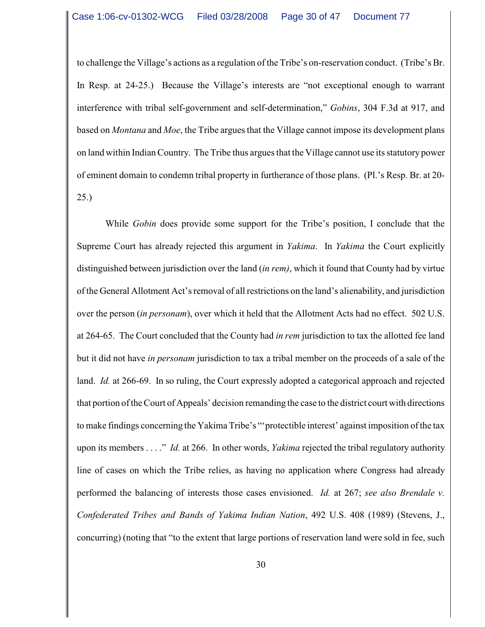to challenge the Village's actions as a regulation of the Tribe's on-reservation conduct. (Tribe's Br. In Resp. at 24-25.) Because the Village's interests are "not exceptional enough to warrant interference with tribal self-government and self-determination," *Gobins*, 304 F.3d at 917, and based on *Montana* and *Moe*, the Tribe argues that the Village cannot impose its development plans on land within Indian Country. The Tribe thus argues that the Village cannot use its statutory power of eminent domain to condemn tribal property in furtherance of those plans. (Pl.'s Resp. Br. at 20- 25.)

While *Gobin* does provide some support for the Tribe's position, I conclude that the Supreme Court has already rejected this argument in *Yakima*. In *Yakima* the Court explicitly distinguished between jurisdiction over the land (*in rem)*, which it found that County had by virtue of the General Allotment Act's removal of all restrictions on the land's alienability, and jurisdiction over the person (*in personam*), over which it held that the Allotment Acts had no effect. 502 U.S. at 264-65. The Court concluded that the County had *in rem* jurisdiction to tax the allotted fee land but it did not have *in personam* jurisdiction to tax a tribal member on the proceeds of a sale of the land. *Id.* at 266-69. In so ruling, the Court expressly adopted a categorical approach and rejected that portion of the Court of Appeals' decision remanding the case to the district court with directions to make findings concerning the Yakima Tribe's "'protectible interest' against imposition ofthe tax upon its members . . . ." *Id.* at 266. In other words, *Yakima* rejected the tribal regulatory authority line of cases on which the Tribe relies, as having no application where Congress had already performed the balancing of interests those cases envisioned. *Id.* at 267; *see also Brendale v. Confederated Tribes and Bands of Yakima Indian Nation*, 492 U.S. 408 (1989) (Stevens, J., concurring) (noting that "to the extent that large portions of reservation land were sold in fee, such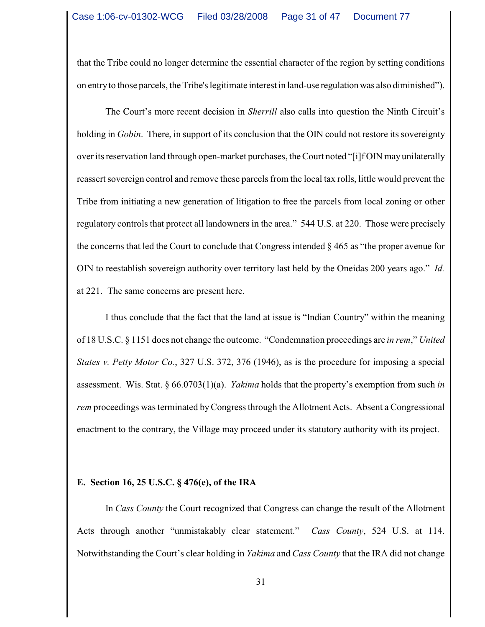that the Tribe could no longer determine the essential character of the region by setting conditions on entry to those parcels, the Tribe's legitimate interest in land-use regulation was also diminished").

The Court's more recent decision in *Sherrill* also calls into question the Ninth Circuit's holding in *Gobin*. There, in support of its conclusion that the OIN could not restore its sovereignty over its reservation land through open-market purchases, the Court noted "[i]f OIN may unilaterally reassert sovereign control and remove these parcels from the local tax rolls, little would prevent the Tribe from initiating a new generation of litigation to free the parcels from local zoning or other regulatory controlsthat protect all landowners in the area." 544 U.S. at 220. Those were precisely the concerns that led the Court to conclude that Congress intended § 465 as "the proper avenue for OIN to reestablish sovereign authority over territory last held by the Oneidas 200 years ago." *Id.* at 221. The same concerns are present here.

I thus conclude that the fact that the land at issue is "Indian Country" within the meaning of 18 U.S.C. § 1151 does not change the outcome. "Condemnation proceedings are *in rem*," *United States v. Petty Motor Co.*, 327 U.S. 372, 376 (1946), as is the procedure for imposing a special assessment. Wis. Stat. § 66.0703(1)(a). *Yakima* holds that the property's exemption from such *in rem* proceedings was terminated by Congress through the Allotment Acts. Absent a Congressional enactment to the contrary, the Village may proceed under its statutory authority with its project.

### **E. Section 16, 25 U.S.C. § 476(e), of the IRA**

In *Cass County* the Court recognized that Congress can change the result of the Allotment Acts through another "unmistakably clear statement." *Cass County*, 524 U.S. at 114. Notwithstanding the Court's clear holding in *Yakima* and *Cass County* that the IRA did not change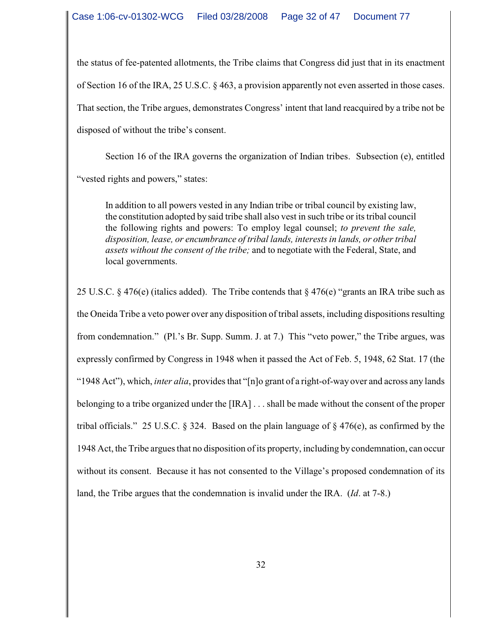the status of fee-patented allotments, the Tribe claims that Congress did just that in its enactment of Section 16 of the IRA, 25 U.S.C. § 463, a provision apparently not even asserted in those cases. That section, the Tribe argues, demonstrates Congress' intent that land reacquired by a tribe not be disposed of without the tribe's consent.

Section 16 of the IRA governs the organization of Indian tribes. Subsection (e), entitled "vested rights and powers," states:

In addition to all powers vested in any Indian tribe or tribal council by existing law, the constitution adopted by said tribe shall also vest in such tribe or its tribal council the following rights and powers: To employ legal counsel; *to prevent the sale, disposition, lease, or encumbrance of tribal lands, interests in lands, or other tribal assets without the consent of the tribe;* and to negotiate with the Federal, State, and local governments.

25 U.S.C. § 476(e) (italics added). The Tribe contends that § 476(e) "grants an IRA tribe such as the Oneida Tribe a veto power over any disposition of tribal assets, including dispositions resulting from condemnation." (Pl.'s Br. Supp. Summ. J. at 7.) This "veto power," the Tribe argues, was expressly confirmed by Congress in 1948 when it passed the Act of Feb. 5, 1948, 62 Stat. 17 (the "1948 Act"), which, *inter alia*, provides that "[n]o grant of a right-of-way over and across any lands belonging to a tribe organized under the [IRA] . . . shall be made without the consent of the proper tribal officials." 25 U.S.C. § 324. Based on the plain language of § 476(e), as confirmed by the 1948 Act, the Tribe argues that no disposition of its property, including by condemnation, can occur without its consent. Because it has not consented to the Village's proposed condemnation of its land, the Tribe argues that the condemnation is invalid under the IRA. (*Id*. at 7-8.)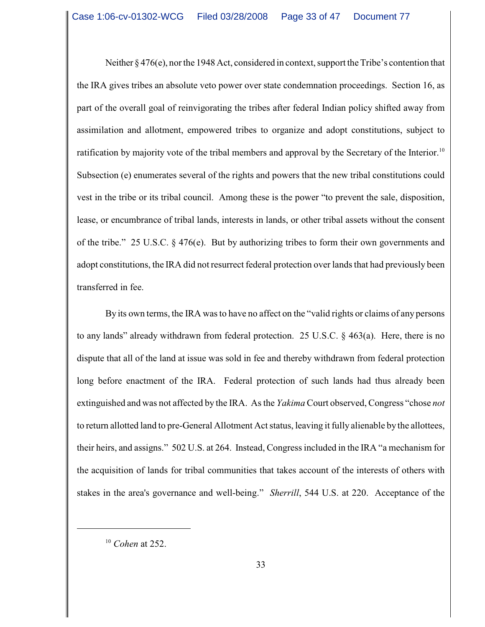Neither  $\S 476(e)$ , nor the 1948 Act, considered in context, support the Tribe's contention that the IRA gives tribes an absolute veto power over state condemnation proceedings. Section 16, as part of the overall goal of reinvigorating the tribes after federal Indian policy shifted away from assimilation and allotment, empowered tribes to organize and adopt constitutions, subject to ratification by majority vote of the tribal members and approval by the Secretary of the Interior.<sup>10</sup> Subsection (e) enumerates several of the rights and powers that the new tribal constitutions could vest in the tribe or its tribal council. Among these is the power "to prevent the sale, disposition, lease, or encumbrance of tribal lands, interests in lands, or other tribal assets without the consent of the tribe." 25 U.S.C. § 476(e). But by authorizing tribes to form their own governments and adopt constitutions, the IRA did not resurrect federal protection over lands that had previously been transferred in fee.

By its own terms, the IRA was to have no affect on the "valid rights or claims of any persons to any lands" already withdrawn from federal protection. 25 U.S.C. § 463(a). Here, there is no dispute that all of the land at issue was sold in fee and thereby withdrawn from federal protection long before enactment of the IRA. Federal protection of such lands had thus already been extinguished and was not affected by the IRA. As the *Yakima* Court observed, Congress "chose *not* to return allotted land to pre-General Allotment Act status, leaving it fully alienable by the allottees, their heirs, and assigns." 502 U.S. at 264. Instead, Congress included in the IRA "a mechanism for the acquisition of lands for tribal communities that takes account of the interests of others with stakes in the area's governance and well-being." *Sherrill*, 544 U.S. at 220. Acceptance of the

<sup>&</sup>lt;sup>10</sup> Cohen at 252.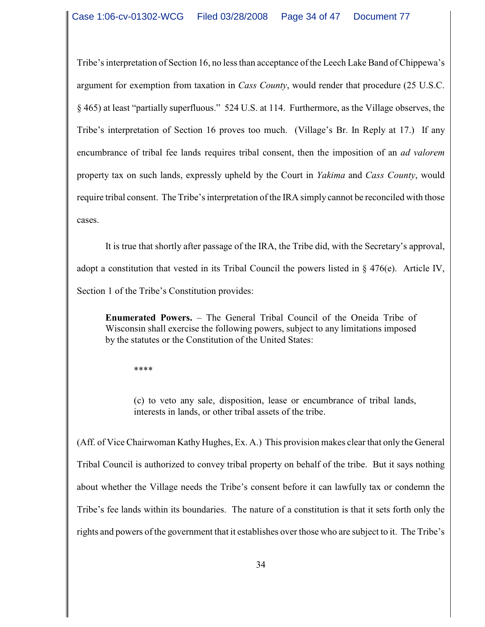Tribe's interpretation of Section 16, no less than acceptance of the Leech Lake Band of Chippewa's argument for exemption from taxation in *Cass County*, would render that procedure (25 U.S.C. § 465) at least "partially superfluous." 524 U.S. at 114. Furthermore, as the Village observes, the Tribe's interpretation of Section 16 proves too much. (Village's Br. In Reply at 17.) If any encumbrance of tribal fee lands requires tribal consent, then the imposition of an *ad valorem* property tax on such lands, expressly upheld by the Court in *Yakima* and *Cass County*, would require tribal consent. The Tribe's interpretation of the IRA simply cannot be reconciled with those cases.

It is true that shortly after passage of the IRA, the Tribe did, with the Secretary's approval, adopt a constitution that vested in its Tribal Council the powers listed in  $\S$  476(e). Article IV, Section 1 of the Tribe's Constitution provides:

**Enumerated Powers.** – The General Tribal Council of the Oneida Tribe of Wisconsin shall exercise the following powers, subject to any limitations imposed by the statutes or the Constitution of the United States:

\*\*\*\*

(c) to veto any sale, disposition, lease or encumbrance of tribal lands, interests in lands, or other tribal assets of the tribe.

(Aff. of Vice Chairwoman Kathy Hughes, Ex. A.) This provision makes clear that only the General Tribal Council is authorized to convey tribal property on behalf of the tribe. But it says nothing about whether the Village needs the Tribe's consent before it can lawfully tax or condemn the Tribe's fee lands within its boundaries. The nature of a constitution is that it sets forth only the rights and powers of the government that it establishes over those who are subject to it. The Tribe's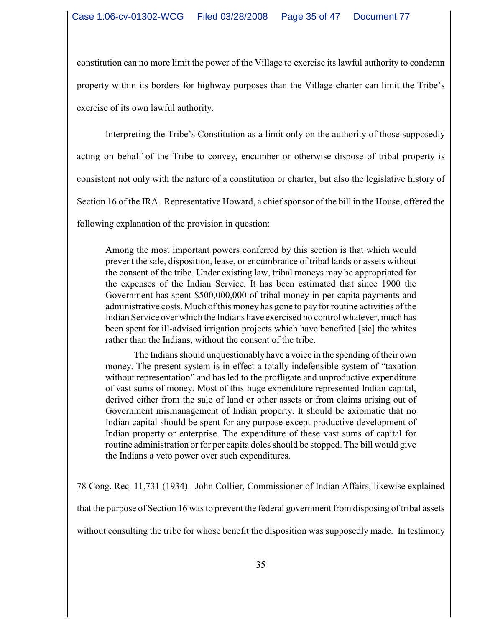constitution can no more limit the power of the Village to exercise its lawful authority to condemn property within its borders for highway purposes than the Village charter can limit the Tribe's exercise of its own lawful authority.

Interpreting the Tribe's Constitution as a limit only on the authority of those supposedly acting on behalf of the Tribe to convey, encumber or otherwise dispose of tribal property is consistent not only with the nature of a constitution or charter, but also the legislative history of Section 16 of the IRA. Representative Howard, a chief sponsor of the bill in the House, offered the following explanation of the provision in question:

Among the most important powers conferred by this section is that which would prevent the sale, disposition, lease, or encumbrance of tribal lands or assets without the consent of the tribe. Under existing law, tribal moneys may be appropriated for the expenses of the Indian Service. It has been estimated that since 1900 the Government has spent \$500,000,000 of tribal money in per capita payments and administrative costs. Much of this money has gone to pay for routine activities of the Indian Service over which the Indians have exercised no control whatever, much has been spent for ill-advised irrigation projects which have benefited [sic] the whites rather than the Indians, without the consent of the tribe.

The Indians should unquestionably have a voice in the spending of their own money. The present system is in effect a totally indefensible system of "taxation without representation" and has led to the profligate and unproductive expenditure of vast sums of money. Most of this huge expenditure represented Indian capital, derived either from the sale of land or other assets or from claims arising out of Government mismanagement of Indian property. It should be axiomatic that no Indian capital should be spent for any purpose except productive development of Indian property or enterprise. The expenditure of these vast sums of capital for routine administration or for per capita doles should be stopped. The bill would give the Indians a veto power over such expenditures.

78 Cong. Rec. 11,731 (1934). John Collier, Commissioner of Indian Affairs, likewise explained that the purpose of Section 16 was to prevent the federal government from disposing of tribal assets without consulting the tribe for whose benefit the disposition was supposedly made. In testimony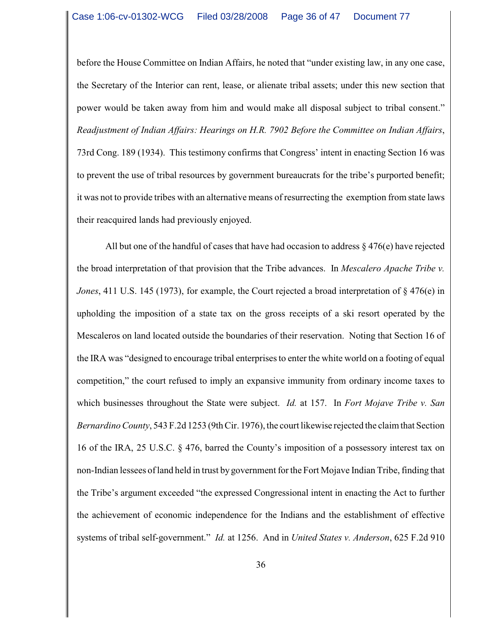before the House Committee on Indian Affairs, he noted that "under existing law, in any one case, the Secretary of the Interior can rent, lease, or alienate tribal assets; under this new section that power would be taken away from him and would make all disposal subject to tribal consent." *Readjustment of Indian Affairs: Hearings on H.R. 7902 Before the Committee on Indian Affairs*, 73rd Cong. 189 (1934). This testimony confirms that Congress' intent in enacting Section 16 was to prevent the use of tribal resources by government bureaucrats for the tribe's purported benefit; it was not to provide tribes with an alternative means of resurrecting the exemption from state laws their reacquired lands had previously enjoyed.

All but one of the handful of cases that have had occasion to address  $\S 476(e)$  have rejected the broad interpretation of that provision that the Tribe advances. In *Mescalero Apache Tribe v. Jones*, 411 U.S. 145 (1973), for example, the Court rejected a broad interpretation of § 476(e) in upholding the imposition of a state tax on the gross receipts of a ski resort operated by the Mescaleros on land located outside the boundaries of their reservation. Noting that Section 16 of the IRA was "designed to encourage tribal enterprises to enter the white world on a footing of equal competition," the court refused to imply an expansive immunity from ordinary income taxes to which businesses throughout the State were subject. *Id.* at 157. In *Fort Mojave Tribe v. San Bernardino County*, 543 F.2d 1253 (9th Cir. 1976), the court likewise rejected the claim that Section 16 of the IRA, 25 U.S.C. § 476, barred the County's imposition of a possessory interest tax on non-Indian lessees of land held in trust bygovernment for the Fort Mojave Indian Tribe, finding that the Tribe's argument exceeded "the expressed Congressional intent in enacting the Act to further the achievement of economic independence for the Indians and the establishment of effective systems of tribal self-government." *Id.* at 1256. And in *United States v. Anderson*, 625 F.2d 910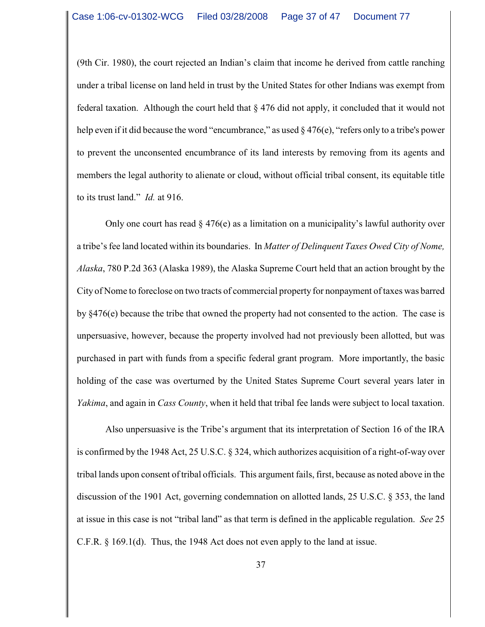(9th Cir. 1980), the court rejected an Indian's claim that income he derived from cattle ranching under a tribal license on land held in trust by the United States for other Indians was exempt from federal taxation. Although the court held that  $\S 476$  did not apply, it concluded that it would not help even if it did because the word "encumbrance," as used § 476(e), "refers only to a tribe's power to prevent the unconsented encumbrance of its land interests by removing from its agents and members the legal authority to alienate or cloud, without official tribal consent, its equitable title to its trust land." *Id.* at 916.

Only one court has read  $\S 476(e)$  as a limitation on a municipality's lawful authority over a tribe'sfee land located within its boundaries. In *Matter of Delinquent Taxes Owed City of Nome, Alaska*, 780 P.2d 363 (Alaska 1989), the Alaska Supreme Court held that an action brought by the City of Nome to foreclose on two tracts of commercial property for nonpayment of taxes was barred by §476(e) because the tribe that owned the property had not consented to the action. The case is unpersuasive, however, because the property involved had not previously been allotted, but was purchased in part with funds from a specific federal grant program. More importantly, the basic holding of the case was overturned by the United States Supreme Court several years later in *Yakima*, and again in *Cass County*, when it held that tribal fee lands were subject to local taxation.

Also unpersuasive is the Tribe's argument that its interpretation of Section 16 of the IRA is confirmed by the 1948 Act, 25 U.S.C. § 324, which authorizes acquisition of a right-of-way over tribal lands upon consent of tribal officials. This argument fails, first, because as noted above in the discussion of the 1901 Act, governing condemnation on allotted lands, 25 U.S.C. § 353, the land at issue in this case is not "tribal land" as that term is defined in the applicable regulation. *See* 25 C.F.R. § 169.1(d). Thus, the 1948 Act does not even apply to the land at issue.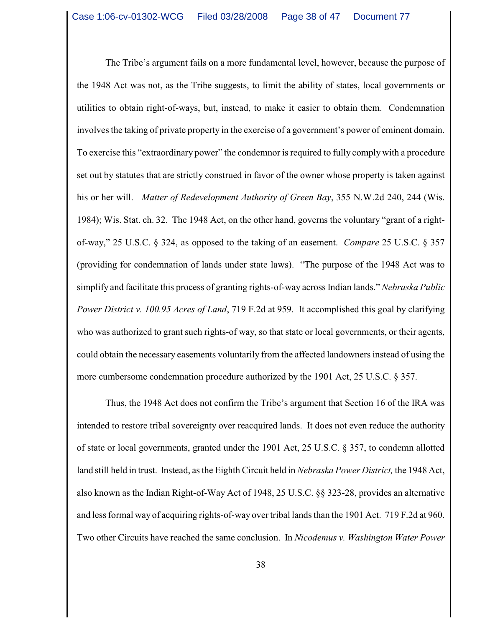The Tribe's argument fails on a more fundamental level, however, because the purpose of the 1948 Act was not, as the Tribe suggests, to limit the ability of states, local governments or utilities to obtain right-of-ways, but, instead, to make it easier to obtain them. Condemnation involves the taking of private property in the exercise of a government's power of eminent domain. To exercise this "extraordinary power" the condemnor is required to fully comply with a procedure set out by statutes that are strictly construed in favor of the owner whose property is taken against his or her will. *Matter of Redevelopment Authority of Green Bay*, 355 N.W.2d 240, 244 (Wis. 1984); Wis. Stat. ch. 32. The 1948 Act, on the other hand, governs the voluntary "grant of a rightof-way," 25 U.S.C. § 324, as opposed to the taking of an easement. *Compare* 25 U.S.C. § 357 (providing for condemnation of lands under state laws). "The purpose of the 1948 Act was to simplify and facilitate this process of granting rights-of-way across Indian lands." *Nebraska Public Power District v. 100.95 Acres of Land*, 719 F.2d at 959. It accomplished this goal by clarifying who was authorized to grant such rights-of way, so that state or local governments, or their agents, could obtain the necessary easements voluntarily from the affected landowners instead of using the more cumbersome condemnation procedure authorized by the 1901 Act, 25 U.S.C. § 357.

Thus, the 1948 Act does not confirm the Tribe's argument that Section 16 of the IRA was intended to restore tribal sovereignty over reacquired lands. It does not even reduce the authority of state or local governments, granted under the 1901 Act, 25 U.S.C. § 357, to condemn allotted land still held in trust. Instead, as the Eighth Circuit held in *Nebraska Power District,* the 1948 Act, also known as the Indian Right-of-Way Act of 1948, 25 U.S.C. §§ 323-28, provides an alternative and less formal way of acquiring rights-of-way over tribal lands than the 1901 Act. 719 F.2d at 960. Two other Circuits have reached the same conclusion. In *Nicodemus v. Washington Water Power*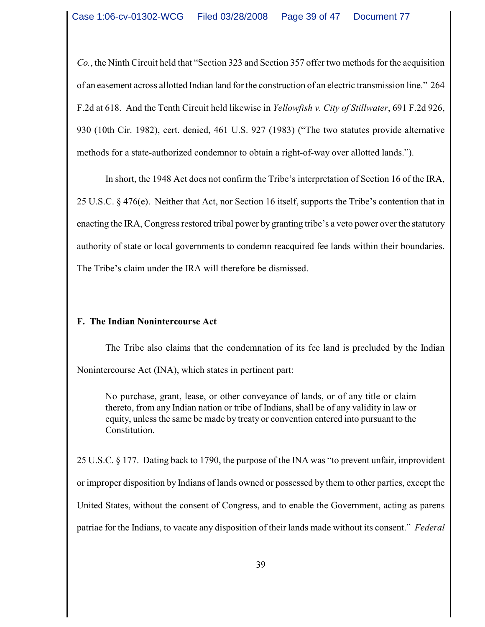*Co.*, the Ninth Circuit held that "Section 323 and Section 357 offer two methods for the acquisition of an easement across allotted Indian land for the construction of an electric transmission line." 264 F.2d at 618. And the Tenth Circuit held likewise in *Yellowfish v. City of Stillwater*, 691 F.2d 926, 930 (10th Cir. 1982), cert. denied, 461 U.S. 927 (1983) ("The two statutes provide alternative methods for a state-authorized condemnor to obtain a right-of-way over allotted lands.").

In short, the 1948 Act does not confirm the Tribe's interpretation of Section 16 of the IRA, 25 U.S.C. § 476(e). Neither that Act, nor Section 16 itself, supports the Tribe's contention that in enacting the IRA, Congress restored tribal power by granting tribe's a veto power over the statutory authority of state or local governments to condemn reacquired fee lands within their boundaries. The Tribe's claim under the IRA will therefore be dismissed.

# **F. The Indian Nonintercourse Act**

The Tribe also claims that the condemnation of its fee land is precluded by the Indian Nonintercourse Act (INA), which states in pertinent part:

No purchase, grant, lease, or other conveyance of lands, or of any title or claim thereto, from any Indian nation or tribe of Indians, shall be of any validity in law or equity, unless the same be made by treaty or convention entered into pursuant to the Constitution.

25 U.S.C. § 177. Dating back to 1790, the purpose of the INA was "to prevent unfair, improvident or improper disposition by Indians of lands owned or possessed by them to other parties, except the United States, without the consent of Congress, and to enable the Government, acting as parens patriae for the Indians, to vacate any disposition of their lands made without its consent." *Federal*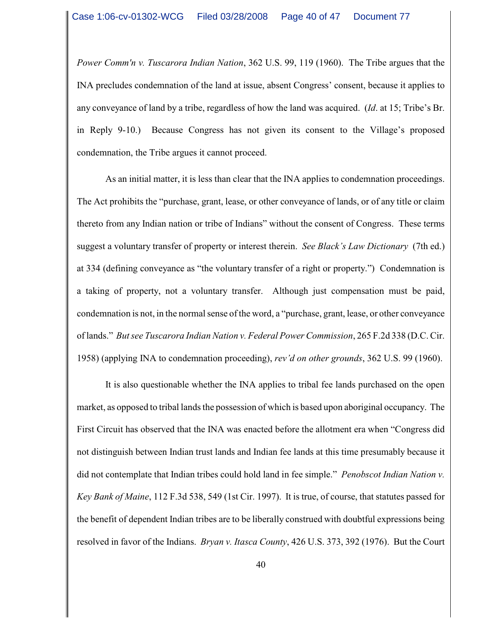*Power Comm'n v. Tuscarora Indian Nation*, 362 U.S. 99, 119 (1960). The Tribe argues that the INA precludes condemnation of the land at issue, absent Congress' consent, because it applies to any conveyance of land by a tribe, regardless of how the land was acquired. (*Id*. at 15; Tribe's Br. in Reply 9-10.) Because Congress has not given its consent to the Village's proposed condemnation, the Tribe argues it cannot proceed.

As an initial matter, it is less than clear that the INA applies to condemnation proceedings. The Act prohibits the "purchase, grant, lease, or other conveyance of lands, or of any title or claim thereto from any Indian nation or tribe of Indians" without the consent of Congress. These terms suggest a voluntary transfer of property or interest therein. *See Black's Law Dictionary* (7th ed.) at 334 (defining conveyance as "the voluntary transfer of a right or property.") Condemnation is a taking of property, not a voluntary transfer. Although just compensation must be paid, condemnation is not, in the normal sense of the word, a "purchase, grant, lease, or other conveyance of lands." *But see Tuscarora Indian Nation v. Federal Power Commission*, 265 F.2d 338 (D.C. Cir. 1958) (applying INA to condemnation proceeding), *rev'd on other grounds*, 362 U.S. 99 (1960).

It is also questionable whether the INA applies to tribal fee lands purchased on the open market, as opposed to tribal lands the possession of which is based upon aboriginal occupancy. The First Circuit has observed that the INA was enacted before the allotment era when "Congress did not distinguish between Indian trust lands and Indian fee lands at this time presumably because it did not contemplate that Indian tribes could hold land in fee simple." *Penobscot Indian Nation v. Key Bank of Maine*, 112 F.3d 538, 549 (1st Cir. 1997). It is true, of course, that statutes passed for the benefit of dependent Indian tribes are to be liberally construed with doubtful expressions being resolved in favor of the Indians. *Bryan v. Itasca County*, 426 U.S. 373, 392 (1976). But the Court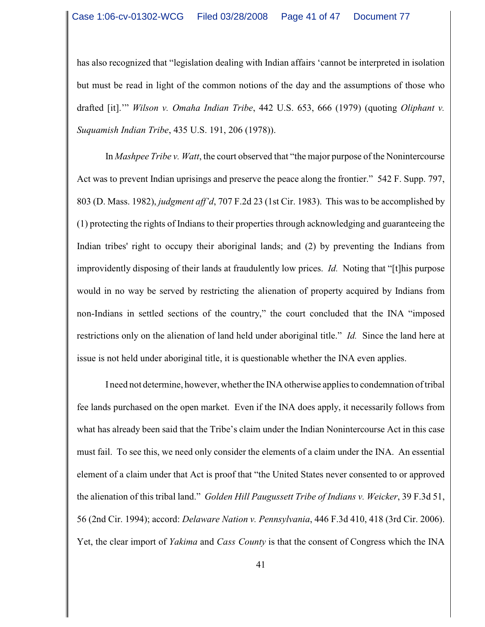has also recognized that "legislation dealing with Indian affairs 'cannot be interpreted in isolation but must be read in light of the common notions of the day and the assumptions of those who drafted [it].'" *Wilson v. Omaha Indian Tribe*, 442 U.S. 653, 666 (1979) (quoting *Oliphant v. Suquamish Indian Tribe*, 435 U.S. 191, 206 (1978)).

In *Mashpee Tribe v. Watt*, the court observed that "the major purpose of the Nonintercourse Act was to prevent Indian uprisings and preserve the peace along the frontier." 542 F. Supp. 797, 803 (D. Mass. 1982), *judgment aff'd*, 707 F.2d 23 (1st Cir. 1983). This was to be accomplished by (1) protecting the rights of Indians to their properties through acknowledging and guaranteeing the Indian tribes' right to occupy their aboriginal lands; and (2) by preventing the Indians from improvidently disposing of their lands at fraudulently low prices. *Id.* Noting that "[t]his purpose would in no way be served by restricting the alienation of property acquired by Indians from non-Indians in settled sections of the country," the court concluded that the INA "imposed restrictions only on the alienation of land held under aboriginal title." *Id.* Since the land here at issue is not held under aboriginal title, it is questionable whether the INA even applies.

I need not determine, however, whether the INA otherwise applies to condemnation of tribal fee lands purchased on the open market. Even if the INA does apply, it necessarily follows from what has already been said that the Tribe's claim under the Indian Nonintercourse Act in this case must fail. To see this, we need only consider the elements of a claim under the INA. An essential element of a claim under that Act is proof that "the United States never consented to or approved the alienation of this tribal land." *Golden Hill Paugussett Tribe of Indians v. Weicker*, 39 F.3d 51, 56 (2nd Cir. 1994); accord: *Delaware Nation v. Pennsylvania*, 446 F.3d 410, 418 (3rd Cir. 2006). Yet, the clear import of *Yakima* and *Cass County* is that the consent of Congress which the INA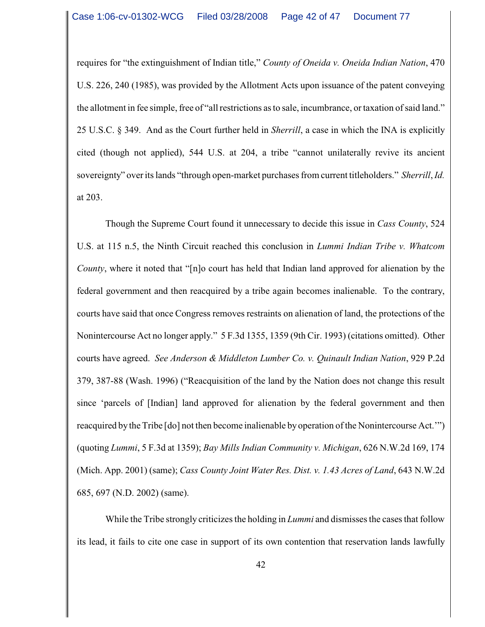requires for "the extinguishment of Indian title," *County of Oneida v. Oneida Indian Nation*, 470 U.S. 226, 240 (1985), was provided by the Allotment Acts upon issuance of the patent conveying the allotment in fee simple, free of "all restrictions as to sale, incumbrance, or taxation of said land." 25 U.S.C. § 349. And as the Court further held in *Sherrill*, a case in which the INA is explicitly cited (though not applied), 544 U.S. at 204, a tribe "cannot unilaterally revive its ancient sovereignty" over its lands "through open-market purchases from current titleholders." *Sherrill*, *Id.* at 203.

Though the Supreme Court found it unnecessary to decide this issue in *Cass County*, 524 U.S. at 115 n.5, the Ninth Circuit reached this conclusion in *Lummi Indian Tribe v. Whatcom County*, where it noted that "[n]o court has held that Indian land approved for alienation by the federal government and then reacquired by a tribe again becomes inalienable. To the contrary, courts have said that once Congress removes restraints on alienation of land, the protections of the Nonintercourse Act no longer apply." 5 F.3d 1355, 1359 (9th Cir. 1993) (citations omitted). Other courts have agreed. *See Anderson & Middleton Lumber Co. v. Quinault Indian Nation*, 929 P.2d 379, 387-88 (Wash. 1996) ("Reacquisition of the land by the Nation does not change this result since 'parcels of [Indian] land approved for alienation by the federal government and then reacquired by the Tribe [do] not then become inalienable by operation of the Nonintercourse Act.'") (quoting *Lummi*, 5 F.3d at 1359); *Bay Mills Indian Community v. Michigan*, 626 N.W.2d 169, 174 (Mich. App. 2001) (same); *Cass County Joint Water Res. Dist. v. 1.43 Acres of Land*, 643 N.W.2d 685, 697 (N.D. 2002) (same).

While the Tribe strongly criticizes the holding in *Lummi* and dismisses the cases that follow its lead, it fails to cite one case in support of its own contention that reservation lands lawfully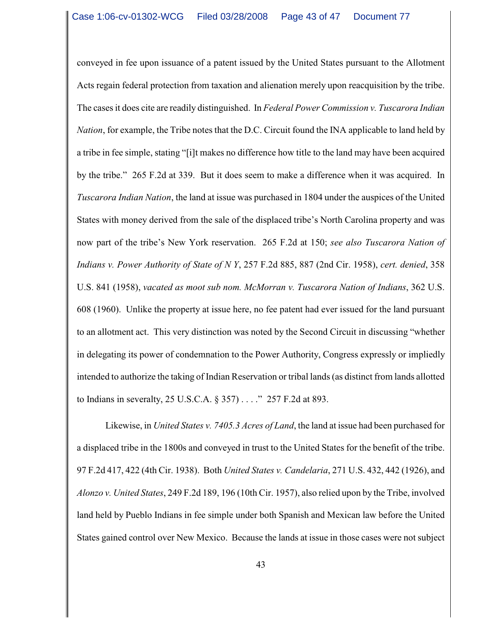conveyed in fee upon issuance of a patent issued by the United States pursuant to the Allotment Acts regain federal protection from taxation and alienation merely upon reacquisition by the tribe. The cases it does cite are readily distinguished. In *Federal Power Commission v. Tuscarora Indian Nation*, for example, the Tribe notes that the D.C. Circuit found the INA applicable to land held by a tribe in fee simple, stating "[i]t makes no difference how title to the land may have been acquired by the tribe." 265 F.2d at 339. But it does seem to make a difference when it was acquired. In *Tuscarora Indian Nation*, the land at issue was purchased in 1804 under the auspices of the United States with money derived from the sale of the displaced tribe's North Carolina property and was now part of the tribe's New York reservation. 265 F.2d at 150; *see also Tuscarora Nation of Indians v. Power Authority of State of N Y*, 257 F.2d 885, 887 (2nd Cir. 1958), *cert. denied*, 358 U.S. 841 (1958), *vacated as moot sub nom. McMorran v. Tuscarora Nation of Indians*, 362 U.S. 608 (1960). Unlike the property at issue here, no fee patent had ever issued for the land pursuant to an allotment act. This very distinction was noted by the Second Circuit in discussing "whether in delegating its power of condemnation to the Power Authority, Congress expressly or impliedly intended to authorize the taking of Indian Reservation or tribal lands (as distinct from lands allotted to Indians in severalty, 25 U.S.C.A. § 357) . . . ." 257 F.2d at 893.

Likewise, in *United States v. 7405.3 Acres of Land*, the land at issue had been purchased for a displaced tribe in the 1800s and conveyed in trust to the United States for the benefit of the tribe. 97 F.2d 417, 422 (4th Cir. 1938). Both *United States v. Candelaria*, 271 U.S. 432, 442 (1926), and *Alonzo v. United States*, 249 F.2d 189, 196 (10th Cir. 1957), also relied upon by the Tribe, involved land held by Pueblo Indians in fee simple under both Spanish and Mexican law before the United States gained control over New Mexico. Because the lands at issue in those cases were not subject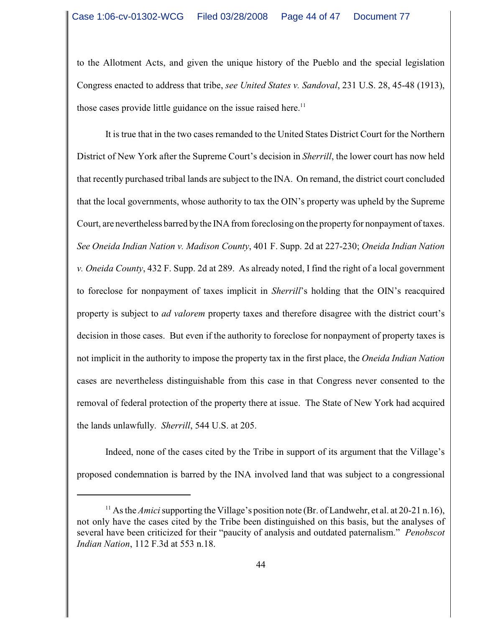to the Allotment Acts, and given the unique history of the Pueblo and the special legislation Congress enacted to address that tribe, *see United States v. Sandoval*, 231 U.S. 28, 45-48 (1913), those cases provide little guidance on the issue raised here.<sup>11</sup>

It is true that in the two cases remanded to the United States District Court for the Northern District of New York after the Supreme Court's decision in *Sherrill*, the lower court has now held that recently purchased tribal lands are subject to the INA. On remand, the district court concluded that the local governments, whose authority to tax the OIN's property was upheld by the Supreme Court, are nevertheless barred bythe INA from foreclosing on the property for nonpayment of taxes. *See Oneida Indian Nation v. Madison County*, 401 F. Supp. 2d at 227-230; *Oneida Indian Nation v. Oneida County*, 432 F. Supp. 2d at 289. As already noted, I find the right of a local government to foreclose for nonpayment of taxes implicit in *Sherrill*'s holding that the OIN's reacquired property is subject to *ad valorem* property taxes and therefore disagree with the district court's decision in those cases. But even if the authority to foreclose for nonpayment of property taxes is not implicit in the authority to impose the property tax in the first place, the *Oneida Indian Nation* cases are nevertheless distinguishable from this case in that Congress never consented to the removal of federal protection of the property there at issue. The State of New York had acquired the lands unlawfully. *Sherrill*, 544 U.S. at 205.

Indeed, none of the cases cited by the Tribe in support of its argument that the Village's proposed condemnation is barred by the INA involved land that was subject to a congressional

<sup>&</sup>lt;sup>11</sup> As the *Amici* supporting the Village's position note (Br. of Landwehr, et al. at 20-21 n.16), not only have the cases cited by the Tribe been distinguished on this basis, but the analyses of several have been criticized for their "paucity of analysis and outdated paternalism." *Penobscot Indian Nation*, 112 F.3d at 553 n.18.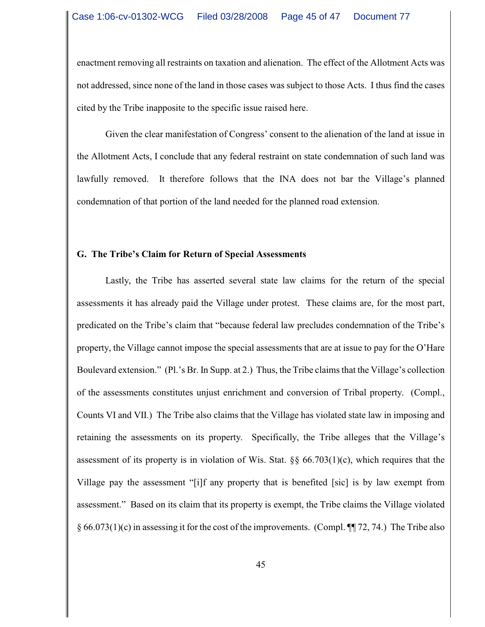enactment removing all restraints on taxation and alienation. The effect of the Allotment Acts was not addressed, since none of the land in those cases was subject to those Acts. I thus find the cases cited by the Tribe inapposite to the specific issue raised here.

Given the clear manifestation of Congress' consent to the alienation of the land at issue in the Allotment Acts, I conclude that any federal restraint on state condemnation of such land was lawfully removed. It therefore follows that the INA does not bar the Village's planned condemnation of that portion of the land needed for the planned road extension.

### **G. The Tribe's Claim for Return of Special Assessments**

Lastly, the Tribe has asserted several state law claims for the return of the special assessments it has already paid the Village under protest. These claims are, for the most part, predicated on the Tribe's claim that "because federal law precludes condemnation of the Tribe's property, the Village cannot impose the special assessments that are at issue to pay for the O'Hare Boulevard extension." (Pl.'s Br. In Supp. at 2.) Thus, the Tribe claims that the Village's collection of the assessments constitutes unjust enrichment and conversion of Tribal property. (Compl., Counts VI and VII.) The Tribe also claims that the Village has violated state law in imposing and retaining the assessments on its property. Specifically, the Tribe alleges that the Village's assessment of its property is in violation of Wis. Stat. §§ 66.703(1)(c), which requires that the Village pay the assessment "[i]f any property that is benefited [sic] is by law exempt from assessment." Based on its claim that its property is exempt, the Tribe claims the Village violated  $\S 66.073(1)(c)$  in assessing it for the cost of the improvements. (Compl.  $\P$  72, 74.) The Tribe also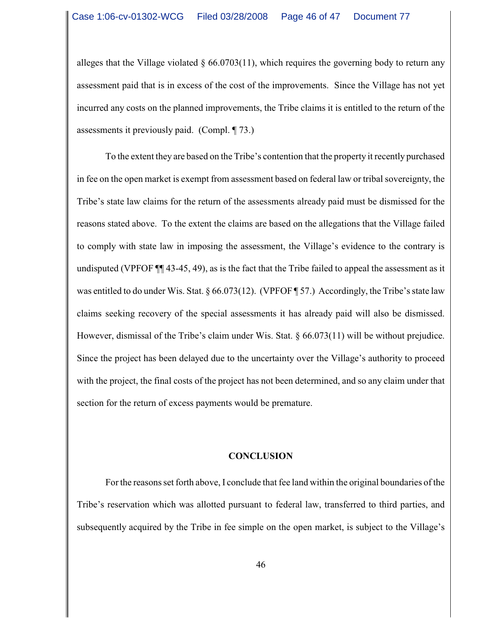alleges that the Village violated  $\S 66.0703(11)$ , which requires the governing body to return any assessment paid that is in excess of the cost of the improvements. Since the Village has not yet incurred any costs on the planned improvements, the Tribe claims it is entitled to the return of the assessments it previously paid. (Compl. ¶ 73.)

To the extent they are based on the Tribe's contention that the property it recently purchased in fee on the open market is exempt from assessment based on federal law or tribal sovereignty, the Tribe's state law claims for the return of the assessments already paid must be dismissed for the reasons stated above. To the extent the claims are based on the allegations that the Village failed to comply with state law in imposing the assessment, the Village's evidence to the contrary is undisputed (VPFOF ¶¶ 43-45, 49), as is the fact that the Tribe failed to appeal the assessment as it was entitled to do under Wis. Stat. § 66.073(12). (VPFOF ¶ 57.) Accordingly, the Tribe's state law claims seeking recovery of the special assessments it has already paid will also be dismissed. However, dismissal of the Tribe's claim under Wis. Stat. § 66.073(11) will be without prejudice. Since the project has been delayed due to the uncertainty over the Village's authority to proceed with the project, the final costs of the project has not been determined, and so any claim under that section for the return of excess payments would be premature.

#### **CONCLUSION**

For the reasons set forth above, I conclude that fee land within the original boundaries of the Tribe's reservation which was allotted pursuant to federal law, transferred to third parties, and subsequently acquired by the Tribe in fee simple on the open market, is subject to the Village's